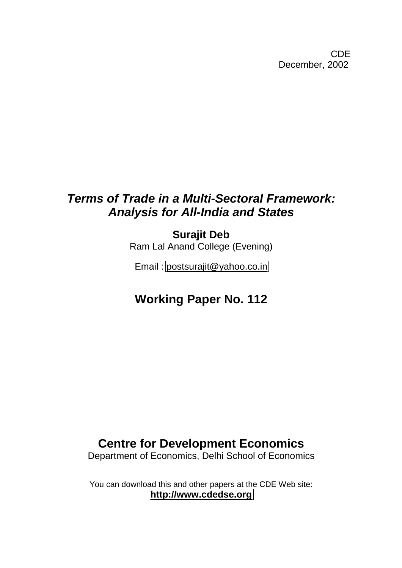CDE December, 2002

# *Terms of Trade in a Multi-Sectoral Framework: Analysis for All-India and States*

**Surajit Deb** Ram Lal Anand College (Evening)

Email : [postsurajit@yahoo.co.in](mailto:postsurajit@yahoo.co.in)

# **Working Paper No. 112**

# **Centre for Development Economics**

Department of Economics, Delhi School of Economics

You can download this and other papers at the CDE Web site: **[http://www.cdedse.org](http://www.cdedse.org/)**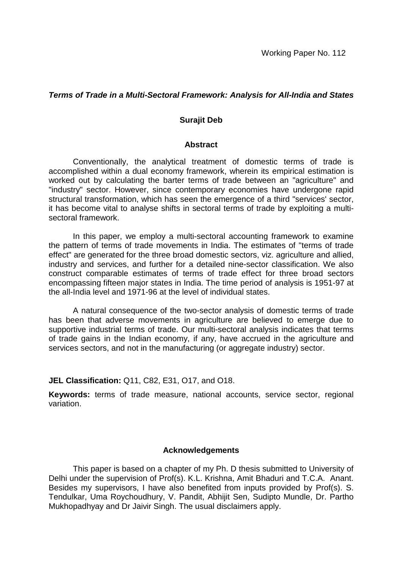## *Terms of Trade in a Multi-Sectoral Framework: Analysis for All-India and States*

### **Surajit Deb**

#### **Abstract**

Conventionally, the analytical treatment of domestic terms of trade is accomplished within a dual economy framework, wherein its empirical estimation is worked out by calculating the barter terms of trade between an "agriculture" and "industry" sector. However, since contemporary economies have undergone rapid structural transformation, which has seen the emergence of a third "services' sector, it has become vital to analyse shifts in sectoral terms of trade by exploiting a multisectoral framework.

In this paper, we employ a multi-sectoral accounting framework to examine the pattern of terms of trade movements in India. The estimates of "terms of trade effect" are generated for the three broad domestic sectors, viz. agriculture and allied, industry and services, and further for a detailed nine-sector classification. We also construct comparable estimates of terms of trade effect for three broad sectors encompassing fifteen major states in India. The time period of analysis is 1951-97 at the all-India level and 1971-96 at the level of individual states.

A natural consequence of the two-sector analysis of domestic terms of trade has been that adverse movements in agriculture are believed to emerge due to supportive industrial terms of trade. Our multi-sectoral analysis indicates that terms of trade gains in the Indian economy, if any, have accrued in the agriculture and services sectors, and not in the manufacturing (or aggregate industry) sector.

**JEL Classification:** Q11, C82, E31, O17, and O18.

**Keywords:** terms of trade measure, national accounts, service sector, regional variation.

#### **Acknowledgements**

This paper is based on a chapter of my Ph. D thesis submitted to University of Delhi under the supervision of Prof(s). K.L. Krishna, Amit Bhaduri and T.C.A. Anant. Besides my supervisors, I have also benefited from inputs provided by Prof(s). S. Tendulkar, Uma Roychoudhury, V. Pandit, Abhijit Sen, Sudipto Mundle, Dr. Partho Mukhopadhyay and Dr Jaivir Singh. The usual disclaimers apply.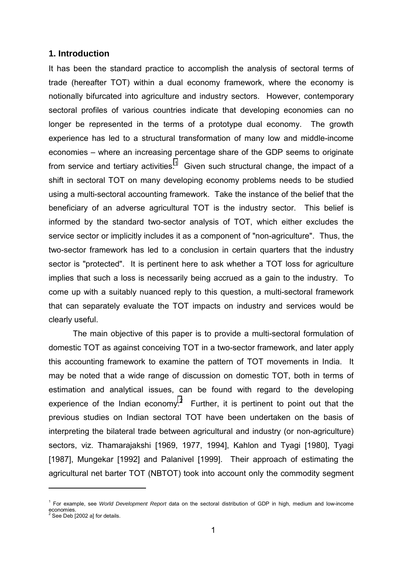## **1. Introduction**

It has been the standard practice to accomplish the analysis of sectoral terms of trade (hereafter TOT) within a dual economy framework, where the economy is notionally bifurcated into agriculture and industry sectors. However, contemporary sectoral profiles of various countries indicate that developing economies can no longer be represented in the terms of a prototype dual economy. The growth experience has led to a structural transformation of many low and middle-income economies – where an increasing percentage share of the GDP seems to originate from service and tertiary activities.<sup>1</sup> Given such structural change, the impact of a shift in sectoral TOT on many developing economy problems needs to be studied using a multi-sectoral accounting framework. Take the instance of the belief that the beneficiary of an adverse agricultural TOT is the industry sector. This belief is informed by the standard two-sector analysis of TOT, which either excludes the service sector or implicitly includes it as a component of "non-agriculture". Thus, the two-sector framework has led to a conclusion in certain quarters that the industry sector is "protected". It is pertinent here to ask whether a TOT loss for agriculture implies that such a loss is necessarily being accrued as a gain to the industry. To come up with a suitably nuanced reply to this question, a multi-sectoral framework that can separately evaluate the TOT impacts on industry and services would be clearly useful.

The main objective of this paper is to provide a multi-sectoral formulation of domestic TOT as against conceiving TOT in a two-sector framework, and later apply this accounting framework to examine the pattern of TOT movements in India. It may be noted that a wide range of discussion on domestic TOT, both in terms of estimation and analytical issues, can be found with regard to the developing experience of the Indian economy.<sup>2</sup> Further, it is pertinent to point out that the previous studies on Indian sectoral TOT have been undertaken on the basis of interpreting the bilateral trade between agricultural and industry (or non-agriculture) sectors, viz. Thamarajakshi [1969, 1977, 1994], Kahlon and Tyagi [1980], Tyagi [1987], Mungekar [1992] and Palanivel [1999]. Their approach of estimating the agricultural net barter TOT (NBTOT) took into account only the commodity segment

<sup>1</sup> For example, see *World Development Report* data on the sectoral distribution of GDP in high, medium and low-income economies.<br><sup>2</sup> See Deb [2002 a] for details.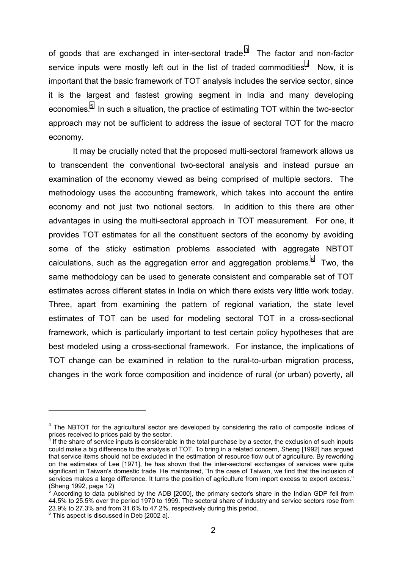of goods that are exchanged in inter-sectoral trade. $3$  The factor and non-factor service inputs were mostly left out in the list of traded commodities. $4$  Now, it is important that the basic framework of TOT analysis includes the service sector, since it is the largest and fastest growing segment in India and many developing economies.<sup>5</sup> In such a situation, the practice of estimating TOT within the two-sector approach may not be sufficient to address the issue of sectoral TOT for the macro economy.

It may be crucially noted that the proposed multi-sectoral framework allows us to transcendent the conventional two-sectoral analysis and instead pursue an examination of the economy viewed as being comprised of multiple sectors. The methodology uses the accounting framework, which takes into account the entire economy and not just two notional sectors. In addition to this there are other advantages in using the multi-sectoral approach in TOT measurement. For one, it provides TOT estimates for all the constituent sectors of the economy by avoiding some of the sticky estimation problems associated with aggregate NBTOT calculations, such as the aggregation error and aggregation problems.<sup>6</sup> Two, the same methodology can be used to generate consistent and comparable set of TOT estimates across different states in India on which there exists very little work today. Three, apart from examining the pattern of regional variation, the state level estimates of TOT can be used for modeling sectoral TOT in a cross-sectional framework, which is particularly important to test certain policy hypotheses that are best modeled using a cross-sectional framework. For instance, the implications of TOT change can be examined in relation to the rural-to-urban migration process, changes in the work force composition and incidence of rural (or urban) poverty, all

 $3$  The NBTOT for the agricultural sector are developed by considering the ratio of composite indices of prices received to prices paid by the sector.<br>4 If the share of convice inputs is considerable

If the share of service inputs is considerable in the total purchase by a sector, the exclusion of such inputs could make a big difference to the analysis of TOT. To bring in a related concern, Sheng [1992] has argued that service items should not be excluded in the estimation of resource flow out of agriculture. By reworking on the estimates of Lee [1971], he has shown that the inter-sectoral exchanges of services were quite significant in Taiwan's domestic trade. He maintained, "In the case of Taiwan, we find that the inclusion of services makes a large difference. It turns the position of agriculture from import excess to export excess." (Sheng 1992, page 12)

<sup>5</sup> According to data published by the ADB [2000], the primary sector's share in the Indian GDP fell from 44.5% to 25.5% over the period 1970 to 1999. The sectoral share of industry and service sectors rose from 23.9% to 27.3% and from 31.6% to 47.2%, respectively during this period.

 $^6$  This aspect is discussed in Deb [2002 a].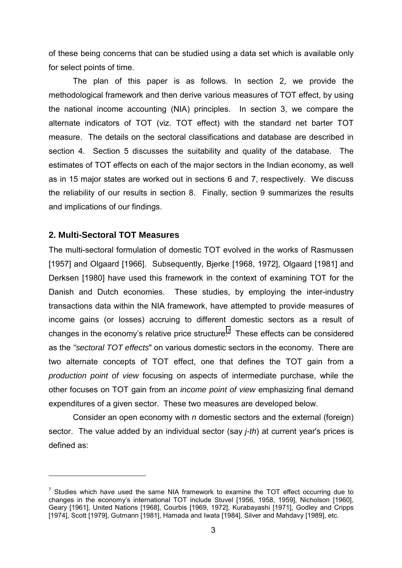of these being concerns that can be studied using a data set which is available only for select points of time.

The plan of this paper is as follows. In section 2, we provide the methodological framework and then derive various measures of TOT effect, by using the national income accounting (NIA) principles. In section 3, we compare the alternate indicators of TOT (viz. TOT effect) with the standard net barter TOT measure. The details on the sectoral classifications and database are described in section 4. Section 5 discusses the suitability and quality of the database. The estimates of TOT effects on each of the major sectors in the Indian economy, as well as in 15 major states are worked out in sections 6 and 7, respectively. We discuss the reliability of our results in section 8. Finally, section 9 summarizes the results and implications of our findings.

# **2. Multi-Sectoral TOT Measures**

 $\overline{a}$ 

The multi-sectoral formulation of domestic TOT evolved in the works of Rasmussen [1957] and Olgaard [1966]. Subsequently, Bjerke [1968, 1972], Olgaard [1981] and Derksen [1980] have used this framework in the context of examining TOT for the Danish and Dutch economies. These studies, by employing the inter-industry transactions data within the NIA framework, have attempted to provide measures of income gains (or losses) accruing to different domestic sectors as a result of changes in the economy's relative price structure.<sup>7</sup> These effects can be considered as the *"sectoral TOT effects*" on various domestic sectors in the economy. There are two alternate concepts of TOT effect, one that defines the TOT gain from a *production point of view* focusing on aspects of intermediate purchase, while the other focuses on TOT gain from an *income point of view* emphasizing final demand expenditures of a given sector. These two measures are developed below.

Consider an open economy with *n* domestic sectors and the external (foreign) sector. The value added by an individual sector (say *j-th*) at current year's prices is defined as:

 $7$  Studies which have used the same NIA framework to examine the TOT effect occurring due to changes in the economyís international TOT include Stuvel [1956, 1958, 1959], Nicholson [1960], Geary [1961], United Nations [1968], Courbis [1969, 1972], Kurabayashi [1971], Godley and Cripps [1974], Scott [1979], Gutmann [1981], Hamada and Iwata [1984], Silver and Mahdavy [1989], etc.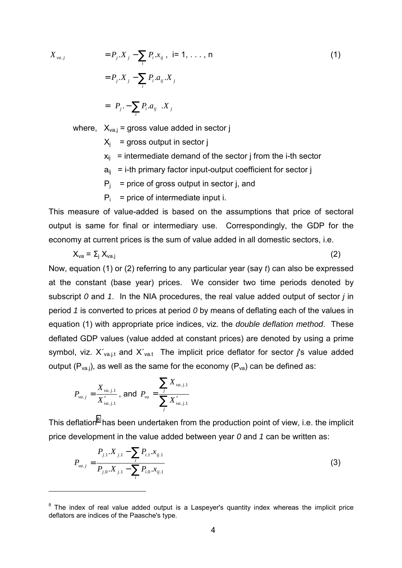$X_{va. j}$ 

 $\overline{a}$ 

$$
= P_j.X_j - \sum_i P_i.x_{ij}, \quad i = 1, ..., n
$$
  

$$
= P_j.X_j - \sum_i P_i.a_{ij}.X_j
$$
  

$$
= \left(P_j - \sum_i P_i.a_{ij}\right)X_j
$$
 (1)

where,  $X_{\text{va},j}$  = gross value added in sector j

 $X_i$  = gross output in sector j

- $x_{ii}$  = intermediate demand of the sector j from the i-th sector
- $a_{ii}$  = i-th primary factor input-output coefficient for sector j
- $P_i$  = price of gross output in sector j, and
- $P_i$  = price of intermediate input i.

This measure of value-added is based on the assumptions that price of sectoral output is same for final or intermediary use. Correspondingly, the GDP for the economy at current prices is the sum of value added in all domestic sectors, i.e.

$$
X_{\text{va}} = \Sigma_j X_{\text{va},j} \tag{2}
$$

Now, equation (1) or (2) referring to any particular year (say *t*) can also be expressed at the constant (base year) prices. We consider two time periods denoted by subscript *0* and *1*. In the NIA procedures, the real value added output of sector *j* in period *1* is converted to prices at period *0* by means of deflating each of the values in equation (1) with appropriate price indices, viz. the *double deflation method*. These deflated GDP values (value added at constant prices) are denoted by using a prime symbol, viz.  $X'_{\text{val},t}$  and  $X'_{\text{val}}$ . The implicit price deflator for sector *j*'s value added output ( $P_{val}$ ), as well as the same for the economy ( $P_{val}$ ) can be defined as:

$$
P_{va.j} = \frac{X_{va.j.1}}{X_{va.j.1}'}\text{, and } P_{va} = \frac{\sum_{j} X_{va.j.1}}{\sum_{j} X_{va.j.1}'}
$$

This deflation<sup>8</sup> has been undertaken from the production point of view, i.e. the implicit price development in the value added between year *0* and *1* can be written as:

$$
P_{va,j} = \frac{P_{j,1} \cdot X_{j,1} - \sum_{i} P_{i,1} \cdot x_{ij,1}}{P_{j,0} \cdot X_{j,1} - \sum_{i} P_{i,0} \cdot x_{ij,1}}
$$
(3)

 $8$  The index of real value added output is a Laspeyer's quantity index whereas the implicit price deflators are indices of the Paasche's type.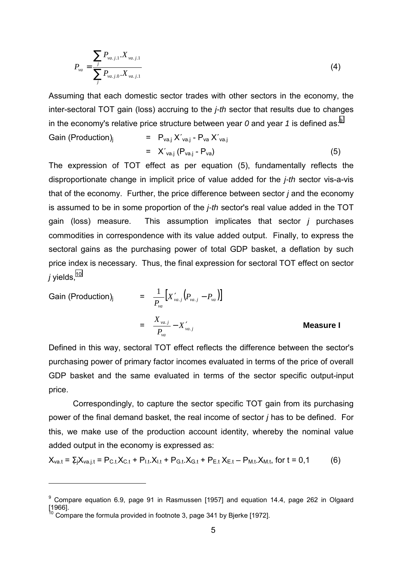$$
P_{va} = \frac{\sum_{j} P_{va,j,1} . X_{va,j,1}}{\sum_{j} P_{va,j,0} . X_{va,j,1}}
$$
(4)

Assuming that each domestic sector trades with other sectors in the economy, the inter-sectoral TOT gain (loss) accruing to the *j-th* sector that results due to changes in the economy's relative price structure between year  $\theta$  and year  $\theta$  is defined as:<sup>9</sup>

Gain (Production)<sub>j</sub> = 
$$
P_{va,j} X'_{va,j} - P_{va} X'_{va,j}
$$
  
=  $X'_{va,j} (P_{va,j} - P_{va})$  (5)

The expression of TOT effect as per equation (5), fundamentally reflects the disproportionate change in implicit price of value added for the *j-th* sector vis-a-vis that of the economy. Further, the price difference between sector *j* and the economy is assumed to be in some proportion of the *j-th* sector's real value added in the TOT gain (loss) measure. This assumption implicates that sector *j* purchases commodities in correspondence with its value added output. Finally, to express the sectoral gains as the purchasing power of total GDP basket, a deflation by such price index is necessary. Thus, the final expression for sectoral TOT effect on sector  $j$  yields,  $10$ 

Gain (Production)<sub>j</sub> = 
$$
\frac{1}{P_{va}} [X'_{va,j} (P_{va,j} - P_{va})]
$$
  
=  $\frac{X_{va,j}}{P_{va}} - X'_{va,j}$  Measure I

Defined in this way, sectoral TOT effect reflects the difference between the sector's purchasing power of primary factor incomes evaluated in terms of the price of overall GDP basket and the same evaluated in terms of the sector specific output-input price.

Correspondingly, to capture the sector specific TOT gain from its purchasing power of the final demand basket, the real income of sector *j* has to be defined. For this, we make use of the production account identity, whereby the nominal value added output in the economy is expressed as:

$$
X_{\text{vat}} = \Sigma_j X_{\text{va},j,t} = P_{\text{C},t} X_{\text{C},t} + P_{\text{l},t} X_{\text{l},t} + P_{\text{G},t} X_{\text{G},t} + P_{\text{E},t} X_{\text{E},t} - P_{\text{M},t} X_{\text{M},t}, \text{ for } t = 0,1 \tag{6}
$$

 $^9$  Compare equation 6.9, page 91 in Rasmussen [1957] and equation 14.4, page 262 in Olgaard [1966].  $10$  Compare the formula provided in footnote 3, page 341 by Bjerke [1972].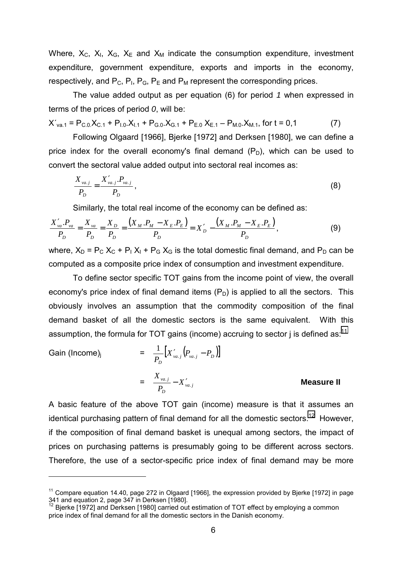Where,  $X_c$ ,  $X_l$ ,  $X_s$ ,  $X_E$  and  $X_M$  indicate the consumption expenditure, investment expenditure, government expenditure, exports and imports in the economy, respectively, and  $P_C$ ,  $P_I$ ,  $P_G$ ,  $P_E$  and  $P_M$  represent the corresponding prices.

The value added output as per equation (6) for period *1* when expressed in terms of the prices of period *0*, will be:

$$
X'_{va.1} = P_{C.0}X_{C.1} + P_{1.0}X_{1.1} + P_{G.0}X_{G.1} + P_{E.0}X_{E.1} - P_{M.0}X_{M.1}, \text{ for } t = 0,1 \tag{7}
$$

Following Olgaard [1966], Bjerke [1972] and Derksen [1980], we can define a price index for the overall economy's final demand  $(P_D)$ , which can be used to convert the sectoral value added output into sectoral real incomes as:

$$
\frac{X_{\nu a.j}}{P_D} = \frac{X'_{\nu a.j} P_{\nu a.j}}{P_D},
$$
\n(8)

Similarly, the total real income of the economy can be defined as:

$$
\frac{X'_{va}.P_{va}}{P_D} = \frac{X_{va}}{P_D} = \frac{X_D}{P_D} = \frac{(X_M.P_M - X_E.P_E)}{P_D} = X'_D - \frac{(X_M.P_M - X_E.P_E)}{P_D},
$$
\n(9)

where,  $X_D = P_C X_C + P_I X_I + P_G X_G$  is the total domestic final demand, and  $P_D$  can be computed as a composite price index of consumption and investment expenditure.

To define sector specific TOT gains from the income point of view, the overall economy's price index of final demand items  $(P_D)$  is applied to all the sectors. This obviously involves an assumption that the commodity composition of the final demand basket of all the domestic sectors is the same equivalent. With this assumption, the formula for TOT gains (income) accruing to sector  $i$  is defined as:<sup>11</sup>

Gain (Income)<sub>j</sub> = 
$$
\frac{1}{P_D} [X'_{va,j} (P_{va,j} - P_D)]
$$
  
=  $\frac{X_{va,j}}{P_D} - X'_{va,j}$  Measure II

A basic feature of the above TOT gain (income) measure is that it assumes an identical purchasing pattern of final demand for all the domestic sectors.<sup>12</sup> However, if the composition of final demand basket is unequal among sectors, the impact of prices on purchasing patterns is presumably going to be different across sectors. Therefore, the use of a sector-specific price index of final demand may be more

 $11$  Compare equation 14.40, page 272 in Olgaard [1966], the expression provided by Bjerke [1972] in page 341 and equation 2, page 347 in Derksen [1980].

 $12$  Bjerke [1972] and Derksen [1980] carried out estimation of TOT effect by employing a common price index of final demand for all the domestic sectors in the Danish economy.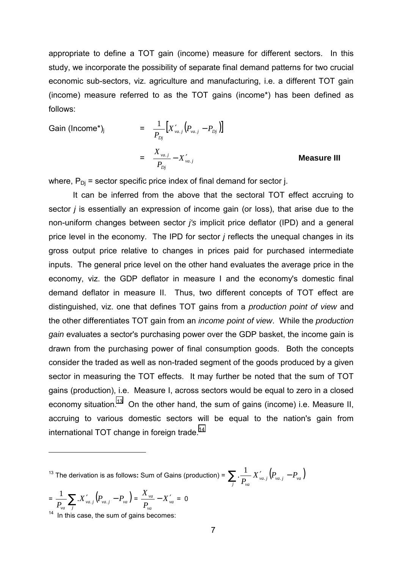appropriate to define a TOT gain (income) measure for different sectors. In this study, we incorporate the possibility of separate final demand patterns for two crucial economic sub-sectors, viz. agriculture and manufacturing, i.e. a different TOT gain (income) measure referred to as the TOT gains (income\*) has been defined as follows:

Gain (Income<sup>\*</sup>)<sub>j</sub> = 
$$
\frac{1}{P_{Dj}} [X'_{va,j} (P_{va,j} - P_{Dj})]
$$
  
=  $\frac{X_{va,j}}{P_{Dj}} - X'_{va,j}$ 

#### . − ′ **Measure III**

where,  $P_{Di}$  = sector specific price index of final demand for sector j.

It can be inferred from the above that the sectoral TOT effect accruing to sector *j* is essentially an expression of income gain (or loss), that arise due to the non-uniform changes between sector *j's* implicit price deflator (IPD) and a general price level in the economy. The IPD for sector *j* reflects the unequal changes in its gross output price relative to changes in prices paid for purchased intermediate inputs. The general price level on the other hand evaluates the average price in the economy, viz. the GDP deflator in measure I and the economy's domestic final demand deflator in measure II. Thus, two different concepts of TOT effect are distinguished, viz. one that defines TOT gains from a *production point of view* and the other differentiates TOT gain from an *income point of view*. While the *production gain* evaluates a sector's purchasing power over the GDP basket, the income gain is drawn from the purchasing power of final consumption goods. Both the concepts consider the traded as well as non-traded segment of the goods produced by a given sector in measuring the TOT effects. It may further be noted that the sum of TOT gains (production), i.e. Measure I, across sectors would be equal to zero in a closed economy situation.<sup>13</sup> On the other hand, the sum of gains (income) i.e. Measure II, accruing to various domestic sectors will be equal to the nation's gain from international TOT change in foreign trade.<sup>14</sup>

 $^{13}$  The derivation is as follows: Sum of Gains (production) =  $\sum_j$  .  $\frac{1}{P_{va}} X'_{va.j}\big(P_{va.j} - P_{va}\big)$ *va.j*  $\left\{ \begin{array}{ccc} \mathbf{v} & \mathbf{a} \cdot \mathbf{j} & \mathbf{v} \end{array} \right\}$  *va va*  $\frac{1}{P_{\nu a}} X'_{\nu a . j} (P_{\nu a . j} - P_{\nu a . j})$  $\frac{1}{\cdot}$ 

$$
= \frac{1}{P_{va}} \sum_{j} X'_{va,j} (P_{va,j} - P_{va}) = \frac{X_{va}}{P_{va}} - X'_{va} = 0
$$

 $\frac{u_{va}-j}{u_{va}-j}$   $\frac{u_{va}}{u_{va}-j}$  In this case, the sum of gains becomes: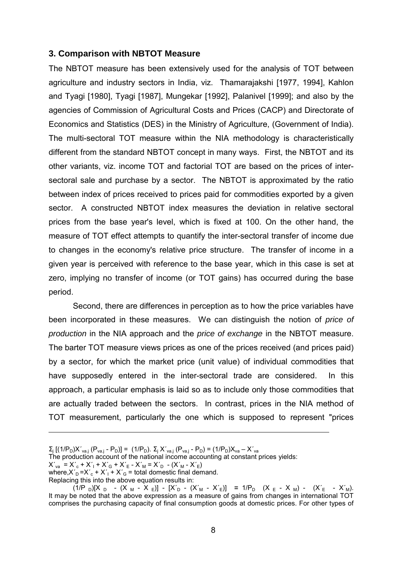## **3. Comparison with NBTOT Measure**

The NBTOT measure has been extensively used for the analysis of TOT between agriculture and industry sectors in India, viz. Thamarajakshi [1977, 1994], Kahlon and Tyagi [1980], Tyagi [1987], Mungekar [1992], Palanivel [1999]; and also by the agencies of Commission of Agricultural Costs and Prices (CACP) and Directorate of Economics and Statistics (DES) in the Ministry of Agriculture, (Government of India). The multi-sectoral TOT measure within the NIA methodology is characteristically different from the standard NBTOT concept in many ways. First, the NBTOT and its other variants, viz. income TOT and factorial TOT are based on the prices of intersectoral sale and purchase by a sector. The NBTOT is approximated by the ratio between index of prices received to prices paid for commodities exported by a given sector. A constructed NBTOT index measures the deviation in relative sectoral prices from the base year's level, which is fixed at 100. On the other hand, the measure of TOT effect attempts to quantify the inter-sectoral transfer of income due to changes in the economy's relative price structure. The transfer of income in a given year is perceived with reference to the base year, which in this case is set at zero, implying no transfer of income (or TOT gains) has occurred during the base period.

Second, there are differences in perception as to how the price variables have been incorporated in these measures. We can distinguish the notion of *price of production* in the NIA approach and the *price of exchange* in the NBTOT measure. The barter TOT measure views prices as one of the prices received (and prices paid) by a sector, for which the market price (unit value) of individual commodities that have supposedly entered in the inter-sectoral trade are considered. In this approach, a particular emphasis is laid so as to include only those commodities that are actually traded between the sectors. In contrast, prices in the NIA method of TOT measurement, particularly the one which is supposed to represent "prices

Replacing this into the above equation results in:

 $\Sigma_{\rm j}$  [(1/P<sub>D</sub>)X′<sub>va.j</sub> (P<sub>va.j</sub> - P<sub>D</sub>)] = (1/P<sub>D</sub>).  $\Sigma_{\rm j}$  X´<sub>va.j</sub> (P<sub>va.j</sub> - P<sub>D</sub>) = (1/P<sub>D</sub>)X<sub>va</sub> – X´<sub>va</sub>

The production account of the national income accounting at constant prices yields:

 $X'_{va} = X'_{c} + X'_{1} + X'_{G} + X'_{E} - X'_{M} = X'_{D} - (X'_{M} - X'_{E})$ 

where, $X'_D = X'_c + X'_1 + X'_G =$  total domestic final demand.

<sup>(1/</sup>P <sub>D</sub>)[X <sub>D</sub> - (X <sub>M</sub> - X <sub>E</sub>)] - [X'<sub>D</sub> - (X'<sub>M</sub> - X'<sub>E</sub>)] = 1/P<sub>D</sub> (X <sub>E</sub> - X <sub>M</sub>) - (X'<sub>E</sub> - X'<sub>M</sub>). It may be noted that the above expression as a measure of gains from changes in international TOT comprises the purchasing capacity of final consumption goods at domestic prices. For other types of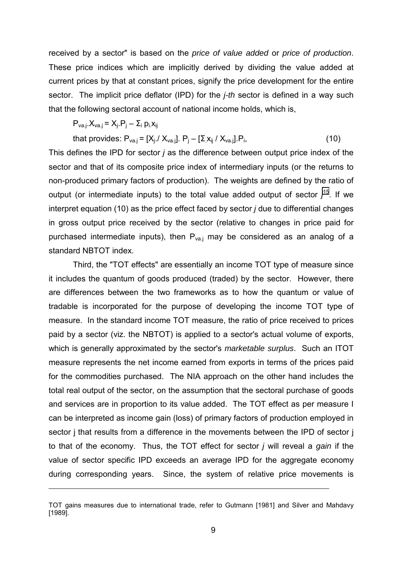received by a sector" is based on the *price of value added* or *price of production*. These price indices which are implicitly derived by dividing the value added at current prices by that at constant prices, signify the price development for the entire sector. The implicit price deflator (IPD) for the *j-th* sector is defined in a way such that the following sectoral account of national income holds, which is,

$$
P_{va.j}.X_{va.j} = X_j.P_j - \Sigma_i p_i x_{ij}
$$

 $\overline{a}$ 

that provides: 
$$
P_{\text{va},j} = [X_j \, / \, X_{\text{va},j}]. \, P_j - [ \Sigma \, X_{ij} \, / \, X_{\text{va},j}].P_i,
$$
 (10)

This defines the IPD for sector *j* as the difference between output price index of the sector and that of its composite price index of intermediary inputs (or the returns to non-produced primary factors of production). The weights are defined by the ratio of output (or intermediate inputs) to the total value added output of sector *j* 15. If we interpret equation (10) as the price effect faced by sector *j* due to differential changes in gross output price received by the sector (relative to changes in price paid for purchased intermediate inputs), then  $P_{\text{val}}$  may be considered as an analog of a standard NBTOT index.

Third, the "TOT effects" are essentially an income TOT type of measure since it includes the quantum of goods produced (traded) by the sector. However, there are differences between the two frameworks as to how the quantum or value of tradable is incorporated for the purpose of developing the income TOT type of measure. In the standard income TOT measure, the ratio of price received to prices paid by a sector (viz. the NBTOT) is applied to a sector's actual volume of exports, which is generally approximated by the sector's *marketable surplus*. Such an ITOT measure represents the net income earned from exports in terms of the prices paid for the commodities purchased. The NIA approach on the other hand includes the total real output of the sector, on the assumption that the sectoral purchase of goods and services are in proportion to its value added. The TOT effect as per measure I can be interpreted as income gain (loss) of primary factors of production employed in sector *j* that results from a difference in the movements between the IPD of sector *j* to that of the economy. Thus, the TOT effect for sector *j* will reveal a *gain* if the value of sector specific IPD exceeds an average IPD for the aggregate economy during corresponding years. Since, the system of relative price movements is

TOT gains measures due to international trade, refer to Gutmann [1981] and Silver and Mahdavy [1989].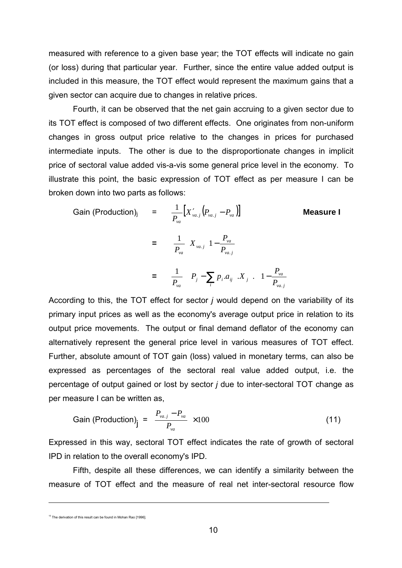measured with reference to a given base year; the TOT effects will indicate no gain (or loss) during that particular year. Further, since the entire value added output is included in this measure, the TOT effect would represent the maximum gains that a given sector can acquire due to changes in relative prices.

Fourth, it can be observed that the net gain accruing to a given sector due to its TOT effect is composed of two different effects. One originates from non-uniform changes in gross output price relative to the changes in prices for purchased intermediate inputs. The other is due to the disproportionate changes in implicit price of sectoral value added vis-a-vis some general price level in the economy. To illustrate this point, the basic expression of TOT effect as per measure I can be broken down into two parts as follows:

Gain (Production)<sub>j</sub> = 
$$
\frac{1}{P_{va}} [X'_{va.j}(P_{va.j} - P_{va})]
$$
 Measure I  
\n=  $\frac{1}{P_{va}} [X_{va.j}(1 - \frac{P_{va}}{P_{va.j}})]$   
\n=  $\frac{1}{P_{va}} [(P_j - \sum_i P_i.a_{ij})X_j] [(1 - \frac{P_{va}}{P_{va.j}})]$ 

According to this, the TOT effect for sector *j* would depend on the variability of its primary input prices as well as the economy's average output price in relation to its output price movements. The output or final demand deflator of the economy can alternatively represent the general price level in various measures of TOT effect. Further, absolute amount of TOT gain (loss) valued in monetary terms, can also be expressed as percentages of the sectoral real value added output, i.e. the percentage of output gained or lost by sector *j* due to inter-sectoral TOT change as per measure I can be written as,

Gain (Production)<sub>j</sub> = 
$$
\left(\frac{P_{va,j} - P_{va}}{P_{va}}\right) \times 100
$$
 (11)

Expressed in this way, sectoral TOT effect indicates the rate of growth of sectoral IPD in relation to the overall economy's IPD.

Fifth, despite all these differences, we can identify a similarity between the measure of TOT effect and the measure of real net inter-sectoral resource flow

<sup>15</sup> The derivation of this result can be found in Mohan Rao [1996].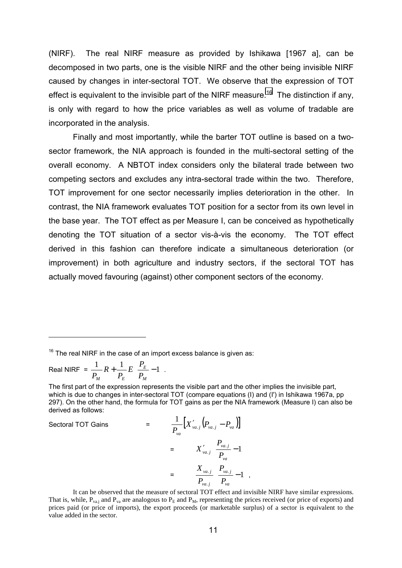(NIRF). The real NIRF measure as provided by Ishikawa [1967 a], can be decomposed in two parts, one is the visible NIRF and the other being invisible NIRF caused by changes in inter-sectoral TOT. We observe that the expression of TOT effect is equivalent to the invisible part of the NIRF measure.<sup>16</sup> The distinction if any, is only with regard to how the price variables as well as volume of tradable are incorporated in the analysis.

Finally and most importantly, while the barter TOT outline is based on a twosector framework, the NIA approach is founded in the multi-sectoral setting of the overall economy. A NBTOT index considers only the bilateral trade between two competing sectors and excludes any intra-sectoral trade within the two. Therefore, TOT improvement for one sector necessarily implies deterioration in the other. In contrast, the NIA framework evaluates TOT position for a sector from its own level in the base year. The TOT effect as per Measure I, can be conceived as hypothetically denoting the TOT situation of a sector vis-à-vis the economy. The TOT effect derived in this fashion can therefore indicate a simultaneous deterioration (or improvement) in both agriculture and industry sectors, if the sectoral TOT has actually moved favouring (against) other component sectors of the economy.

Real NIRF =  $\frac{1}{p}R + \frac{1}{p}E\left(\frac{I_E}{p} - 1\right)$  $\overline{1}$  $\overline{a}$ I l  $\frac{1}{2}R + \frac{1}{2}E\left(\frac{P_E}{R} - 1\right)$ *M E*  $P_{\rm M}$   $P_{\rm E}$   $\left(P_{\rm H}$  $E\left(\frac{P}{P}\right)$ *P*  $\frac{1}{P_M}R + \frac{1}{P_E}E\left(\frac{I_E}{P_M}-1\right).$ 

Sectoral TOT Gains

 $\overline{a}$ 

$$
\frac{1}{P_{va}}\left[X'_{va,j}\left(P_{va,j}-P_{va}\right)\right]
$$
\n
$$
= X'_{va,j}\left(\frac{P_{va,j}}{P_{va}}-1\right)
$$
\n
$$
= \frac{X_{va,j}}{P_{va,j}}\left(\frac{P_{va,j}}{P_{va}}-1\right),
$$

It can be observed that the measure of sectoral TOT effect and invisible NIRF have similar expressions. That is, while,  $P_{va,i}$  and  $P_{va}$  are analogous to  $P_E$  and  $P_M$ , representing the prices received (or price of exports) and prices paid (or price of imports), the export proceeds (or marketable surplus) of a sector is equivalent to the value added in the sector.

 $16$  The real NIRF in the case of an import excess balance is given as:

The first part of the expression represents the visible part and the other implies the invisible part, which is due to changes in inter-sectoral TOT (compare equations (I) and (I') in Ishikawa 1967a, pp 297). On the other hand, the formula for TOT gains as per the NIA framework (Measure I) can also be derived as follows: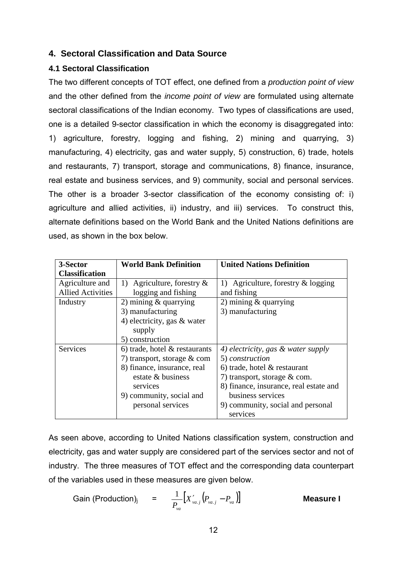# **4. Sectoral Classification and Data Source**

# **4.1 Sectoral Classification**

The two different concepts of TOT effect, one defined from a *production point of view* and the other defined from the *income point of view* are formulated using alternate sectoral classifications of the Indian economy. Two types of classifications are used, one is a detailed 9-sector classification in which the economy is disaggregated into: 1) agriculture, forestry, logging and fishing, 2) mining and quarrying, 3) manufacturing, 4) electricity, gas and water supply, 5) construction, 6) trade, hotels and restaurants, 7) transport, storage and communications, 8) finance, insurance, real estate and business services, and 9) community, social and personal services. The other is a broader 3-sector classification of the economy consisting of: i) agriculture and allied activities, ii) industry, and iii) services. To construct this, alternate definitions based on the World Bank and the United Nations definitions are used, as shown in the box below.

| 3-Sector                 | <b>World Bank Definition</b>     | <b>United Nations Definition</b>       |
|--------------------------|----------------------------------|----------------------------------------|
| <b>Classification</b>    |                                  |                                        |
| Agriculture and          | 1) Agriculture, forestry $\&$    | 1) Agriculture, forestry $\&$ logging  |
| <b>Allied Activities</b> | logging and fishing              | and fishing                            |
| Industry                 | 2) mining $&$ quarrying          | 2) mining $&$ quarrying                |
|                          | 3) manufacturing                 | 3) manufacturing                       |
|                          | 4) electricity, gas $&$ water    |                                        |
|                          | supply                           |                                        |
|                          | 5) construction                  |                                        |
| Services                 | 6) trade, hotel $\&$ restaurants | 4) electricity, gas & water supply     |
|                          | 7) transport, storage $&$ com    | 5) construction                        |
|                          | 8) finance, insurance, real      | 6) trade, hotel $\&$ restaurant        |
|                          | estate & business                | 7) transport, storage $&$ com.         |
|                          | services                         | 8) finance, insurance, real estate and |
|                          | 9) community, social and         | business services                      |
|                          | personal services                | 9) community, social and personal      |
|                          |                                  | services                               |

As seen above, according to United Nations classification system, construction and electricity, gas and water supply are considered part of the services sector and not of industry. The three measures of TOT effect and the corresponding data counterpart of the variables used in these measures are given below.

Gain (Production)<sub>j</sub> = 
$$
\frac{1}{P_{va}}[X'_{va.j}(P_{va.j} - P_{va})]
$$
 **Measure I**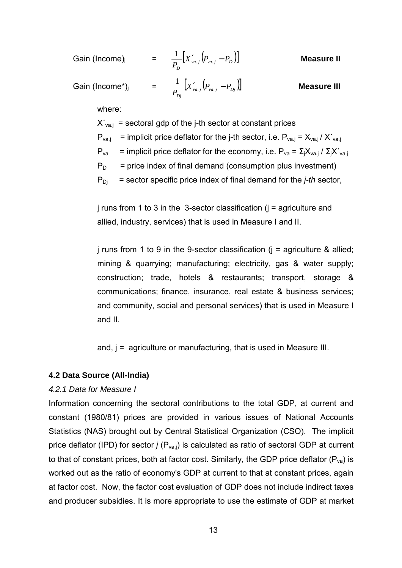| Gain (Income) <sub>i</sub>  | = $\frac{1}{P_{D}}[X'_{va.j}(P_{va.j}-P_{D})]$                   | <b>Measure II</b>  |
|-----------------------------|------------------------------------------------------------------|--------------------|
| Gain (Income*) <sub>i</sub> | = $\frac{1}{P_{Di}}\Big[X'_{va.j}\Big(P_{va.j}-P_{Dj}\Big)\Big]$ | <b>Measure III</b> |
| where:                      |                                                                  |                    |

 $X'_{\text{val}}$  = sectoral gdp of the j-th sector at constant prices  $P_{\text{va},j}$  = implicit price deflator for the j-th sector, i.e.  $P_{\text{va},j} = X_{\text{va},j} / X'_{\text{va},j}$  $P_{va}$  = implicit price deflator for the economy, i.e.  $P_{va} = \sum_{i} X_{va,i} / \sum_{i} X'_{va,i}$  $P_D$  = price index of final demand (consumption plus investment)  $P_{Di}$  = sector specific price index of final demand for the *j-th* sector,

 $j$  runs from 1 to 3 in the 3-sector classification  $(j =$  agriculture and allied, industry, services) that is used in Measure I and II.

j runs from 1 to 9 in the 9-sector classification ( $i =$  agriculture & allied; mining & quarrying; manufacturing; electricity, gas & water supply; construction; trade, hotels & restaurants; transport, storage & communications; finance, insurance, real estate & business services; and community, social and personal services) that is used in Measure I and II.

and, j = agriculture or manufacturing, that is used in Measure III.

### **4.2 Data Source (All-India)**

## *4.2.1 Data for Measure I*

Information concerning the sectoral contributions to the total GDP, at current and constant (1980/81) prices are provided in various issues of National Accounts Statistics (NAS) brought out by Central Statistical Organization (CSO). The implicit price deflator (IPD) for sector *j* (P<sub>va.j</sub>) is calculated as ratio of sectoral GDP at current to that of constant prices, both at factor cost. Similarly, the GDP price deflator  $(P_{va})$  is worked out as the ratio of economy's GDP at current to that at constant prices, again at factor cost. Now, the factor cost evaluation of GDP does not include indirect taxes and producer subsidies. It is more appropriate to use the estimate of GDP at market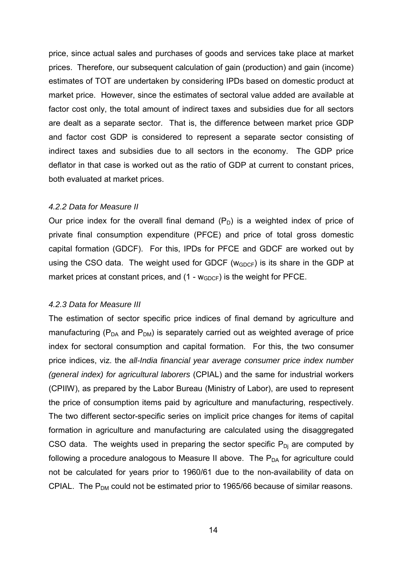price, since actual sales and purchases of goods and services take place at market prices. Therefore, our subsequent calculation of gain (production) and gain (income) estimates of TOT are undertaken by considering IPDs based on domestic product at market price. However, since the estimates of sectoral value added are available at factor cost only, the total amount of indirect taxes and subsidies due for all sectors are dealt as a separate sector. That is, the difference between market price GDP and factor cost GDP is considered to represent a separate sector consisting of indirect taxes and subsidies due to all sectors in the economy. The GDP price deflator in that case is worked out as the ratio of GDP at current to constant prices, both evaluated at market prices.

#### *4.2.2 Data for Measure II*

Our price index for the overall final demand  $(P_D)$  is a weighted index of price of private final consumption expenditure (PFCE) and price of total gross domestic capital formation (GDCF). For this, IPDs for PFCE and GDCF are worked out by using the CSO data. The weight used for GDCF ( $w_{GDCF}$ ) is its share in the GDP at market prices at constant prices, and  $(1 - w_{GDCF})$  is the weight for PFCE.

### *4.2.3 Data for Measure III*

The estimation of sector specific price indices of final demand by agriculture and manufacturing ( $P<sub>DA</sub>$  and  $P<sub>DM</sub>$ ) is separately carried out as weighted average of price index for sectoral consumption and capital formation. For this, the two consumer price indices, viz. the *all-India financial year average consumer price index number (general index) for agricultural laborers* (CPIAL) and the same for industrial workers (CPIIW), as prepared by the Labor Bureau (Ministry of Labor), are used to represent the price of consumption items paid by agriculture and manufacturing, respectively. The two different sector-specific series on implicit price changes for items of capital formation in agriculture and manufacturing are calculated using the disaggregated CSO data. The weights used in preparing the sector specific  $P_{Di}$  are computed by following a procedure analogous to Measure II above. The  $P_{DA}$  for agriculture could not be calculated for years prior to 1960/61 due to the non-availability of data on CPIAL. The  $P_{DM}$  could not be estimated prior to 1965/66 because of similar reasons.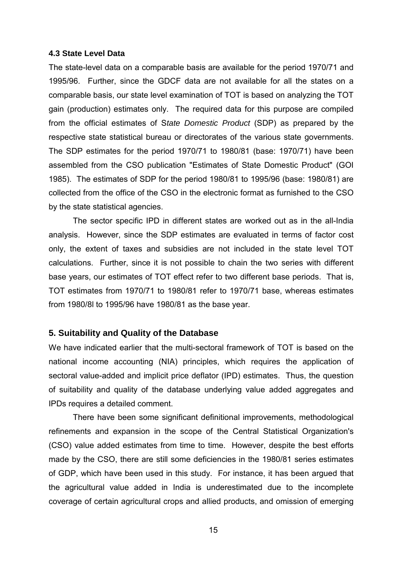#### **4.3 State Level Data**

The state-level data on a comparable basis are available for the period 1970/71 and 1995/96. Further, since the GDCF data are not available for all the states on a comparable basis, our state level examination of TOT is based on analyzing the TOT gain (production) estimates only. The required data for this purpose are compiled from the official estimates of S*tate Domestic Product* (SDP) as prepared by the respective state statistical bureau or directorates of the various state governments. The SDP estimates for the period 1970/71 to 1980/81 (base: 1970/71) have been assembled from the CSO publication "Estimates of State Domestic Product" (GOI 1985). The estimates of SDP for the period 1980/81 to 1995/96 (base: 1980/81) are collected from the office of the CSO in the electronic format as furnished to the CSO by the state statistical agencies.

The sector specific IPD in different states are worked out as in the all-India analysis. However, since the SDP estimates are evaluated in terms of factor cost only, the extent of taxes and subsidies are not included in the state level TOT calculations. Further, since it is not possible to chain the two series with different base years, our estimates of TOT effect refer to two different base periods. That is, TOT estimates from 1970/71 to 1980/81 refer to 1970/71 base, whereas estimates from 1980/8l to 1995/96 have 1980/81 as the base year.

### **5. Suitability and Quality of the Database**

We have indicated earlier that the multi-sectoral framework of TOT is based on the national income accounting (NIA) principles, which requires the application of sectoral value-added and implicit price deflator (IPD) estimates. Thus, the question of suitability and quality of the database underlying value added aggregates and IPDs requires a detailed comment.

There have been some significant definitional improvements, methodological refinements and expansion in the scope of the Central Statistical Organization's (CSO) value added estimates from time to time. However, despite the best efforts made by the CSO, there are still some deficiencies in the 1980/81 series estimates of GDP, which have been used in this study. For instance, it has been argued that the agricultural value added in India is underestimated due to the incomplete coverage of certain agricultural crops and allied products, and omission of emerging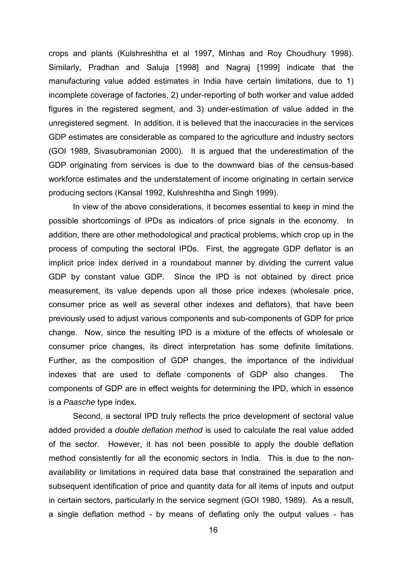crops and plants (Kulshreshtha et al 1997, Minhas and Roy Choudhury 1998). Similarly, Pradhan and Saluja [1998] and Nagraj [1999] indicate that the manufacturing value added estimates in India have certain limitations, due to 1) incomplete coverage of factories, 2) under-reporting of both worker and value added figures in the registered segment, and 3) under-estimation of value added in the unregistered segment. In addition, it is believed that the inaccuracies in the services GDP estimates are considerable as compared to the agriculture and industry sectors (GOI 1989, Sivasubramonian 2000). It is argued that the underestimation of the GDP originating from services is due to the downward bias of the census-based workforce estimates and the understatement of income originating in certain service producing sectors (Kansal 1992, Kulshreshtha and Singh 1999).

In view of the above considerations, it becomes essential to keep in mind the possible shortcomings of IPDs as indicators of price signals in the economy. In addition, there are other methodological and practical problems, which crop up in the process of computing the sectoral IPDs. First, the aggregate GDP deflator is an implicit price index derived in a roundabout manner by dividing the current value GDP by constant value GDP. Since the IPD is not obtained by direct price measurement, its value depends upon all those price indexes (wholesale price, consumer price as well as several other indexes and deflators), that have been previously used to adjust various components and sub-components of GDP for price change. Now, since the resulting IPD is a mixture of the effects of wholesale or consumer price changes, its direct interpretation has some definite limitations. Further, as the composition of GDP changes, the importance of the individual indexes that are used to deflate components of GDP also changes. The components of GDP are in effect weights for determining the IPD, which in essence is a *Paasche* type index.

Second, a sectoral IPD truly reflects the price development of sectoral value added provided a *double deflation method* is used to calculate the real value added of the sector. However, it has not been possible to apply the double deflation method consistently for all the economic sectors in India. This is due to the nonavailability or limitations in required data base that constrained the separation and subsequent identification of price and quantity data for all items of inputs and output in certain sectors, particularly in the service segment (GOI 1980, 1989). As a result, a single deflation method - by means of deflating only the output values - has

16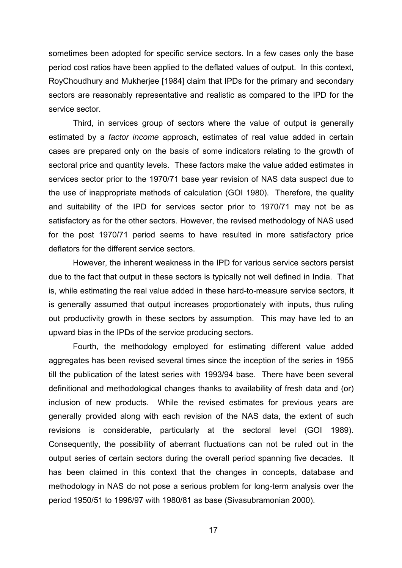sometimes been adopted for specific service sectors. In a few cases only the base period cost ratios have been applied to the deflated values of output. In this context, RoyChoudhury and Mukherjee [1984] claim that IPDs for the primary and secondary sectors are reasonably representative and realistic as compared to the IPD for the service sector.

Third, in services group of sectors where the value of output is generally estimated by a *factor income* approach, estimates of real value added in certain cases are prepared only on the basis of some indicators relating to the growth of sectoral price and quantity levels. These factors make the value added estimates in services sector prior to the 1970/71 base year revision of NAS data suspect due to the use of inappropriate methods of calculation (GOI 1980). Therefore, the quality and suitability of the IPD for services sector prior to 1970/71 may not be as satisfactory as for the other sectors. However, the revised methodology of NAS used for the post 1970/71 period seems to have resulted in more satisfactory price deflators for the different service sectors.

However, the inherent weakness in the IPD for various service sectors persist due to the fact that output in these sectors is typically not well defined in India. That is, while estimating the real value added in these hard-to-measure service sectors, it is generally assumed that output increases proportionately with inputs, thus ruling out productivity growth in these sectors by assumption. This may have led to an upward bias in the IPDs of the service producing sectors.

Fourth, the methodology employed for estimating different value added aggregates has been revised several times since the inception of the series in 1955 till the publication of the latest series with 1993/94 base. There have been several definitional and methodological changes thanks to availability of fresh data and (or) inclusion of new products. While the revised estimates for previous years are generally provided along with each revision of the NAS data, the extent of such revisions is considerable, particularly at the sectoral level (GOI 1989). Consequently, the possibility of aberrant fluctuations can not be ruled out in the output series of certain sectors during the overall period spanning five decades. It has been claimed in this context that the changes in concepts, database and methodology in NAS do not pose a serious problem for long-term analysis over the period 1950/51 to 1996/97 with 1980/81 as base (Sivasubramonian 2000).

17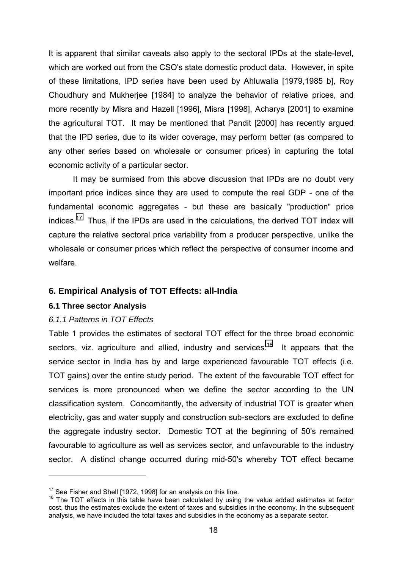It is apparent that similar caveats also apply to the sectoral IPDs at the state-level, which are worked out from the CSO's state domestic product data. However, in spite of these limitations, IPD series have been used by Ahluwalia [1979,1985 b], Roy Choudhury and Mukherjee [1984] to analyze the behavior of relative prices, and more recently by Misra and Hazell [1996], Misra [1998], Acharya [2001] to examine the agricultural TOT. It may be mentioned that Pandit [2000] has recently argued that the IPD series, due to its wider coverage, may perform better (as compared to any other series based on wholesale or consumer prices) in capturing the total economic activity of a particular sector.

It may be surmised from this above discussion that IPDs are no doubt very important price indices since they are used to compute the real GDP - one of the fundamental economic aggregates - but these are basically "production" price indices.<sup>17</sup> Thus, if the IPDs are used in the calculations, the derived TOT index will capture the relative sectoral price variability from a producer perspective, unlike the wholesale or consumer prices which reflect the perspective of consumer income and welfare.

## **6. Empirical Analysis of TOT Effects: all-India**

### **6.1 Three sector Analysis**

 $\overline{a}$ 

## *6.1.1 Patterns in TOT Effects*

Table 1 provides the estimates of sectoral TOT effect for the three broad economic sectors, viz. agriculture and allied, industry and services.<sup>18</sup> It appears that the service sector in India has by and large experienced favourable TOT effects (i.e. TOT gains) over the entire study period. The extent of the favourable TOT effect for services is more pronounced when we define the sector according to the UN classification system. Concomitantly, the adversity of industrial TOT is greater when electricity, gas and water supply and construction sub-sectors are excluded to define the aggregate industry sector. Domestic TOT at the beginning of 50's remained favourable to agriculture as well as services sector, and unfavourable to the industry sector. A distinct change occurred during mid-50's whereby TOT effect became

<sup>&</sup>lt;sup>17</sup> See Fisher and Shell [1972, 1998] for an analysis on this line.<br><sup>18</sup> The TOT effects in this table have been calculated by using the value added estimates at factor cost, thus the estimates exclude the extent of taxes and subsidies in the economy. In the subsequent analysis, we have included the total taxes and subsidies in the economy as a separate sector.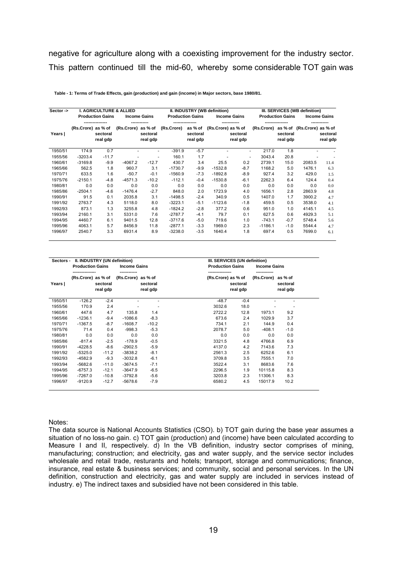negative for agriculture along with a coexisting improvement for the industry sector. This pattern continued till the mid-60, whereby some considerable TOT gain was

| Sector $\rightarrow$ |                    |                         | <b>I. AGRICULTURE &amp; ALLIED</b> |                          |            | II. INDUSTRY (WB definition)    |                     |                      |                 | III. SERVICES (WB definition)   |                     |                      |  |
|----------------------|--------------------|-------------------------|------------------------------------|--------------------------|------------|---------------------------------|---------------------|----------------------|-----------------|---------------------------------|---------------------|----------------------|--|
|                      |                    | <b>Production Gains</b> |                                    | <b>Income Gains</b>      |            | <b>Production Gains</b>         | <b>Income Gains</b> |                      |                 | <b>Production Gains</b>         | <b>Income Gains</b> |                      |  |
| Years                | (Rs.Crore) as % of | sectoral<br>real gdp    | (Rs.Crore) as % of                 | sectoral<br>real gdp     | (Rs.Crore) | as % of<br>sectoral<br>real gdp | (Rs.Crore) as % of  | sectoral<br>real gdp | (Rs.Crore)      | as % of<br>sectoral<br>real gdp | (Rs.Crore) as % of  | sectoral<br>real gdp |  |
| 1950/51              | 174.9              | 0.7                     |                                    | ٠                        | $-391.9$   | $-5.7$                          |                     |                      | 217.0<br>$\sim$ | 1.8                             |                     |                      |  |
| 1955/56              | $-3203.4$          | $-11.7$                 |                                    | $\overline{\phantom{a}}$ | 160.1      | 1.7                             |                     |                      | 3043.4          | 20.8                            |                     |                      |  |
| 1960/61              | $-3169.8$          | $-9.9$                  | $-4067.2$                          | $-12.7$                  | 430.7      | 3.4                             | 25.5                | 0.2                  | 2739.1          | 15.0                            | 2083.5              | 11.4                 |  |
| 1965/66              | 562.5              | 1.8                     | 960.7                              | 3.1                      | $-1730.7$  | $-9.9$                          | $-1532.8$           | $-8.7$               | 1168.2          | 5.0                             | 1476.1              | 6.3                  |  |
| 1970/71              | 633.5              | 1.6                     | $-50.7$                            | $-0.1$                   | $-1560.9$  | $-7.3$                          | $-1892.8$           | $-8.9$               | 927.4           | 3.2                             | 429.0               | 1.5                  |  |
| 1975/76              | $-2150.1$          | $-4.8$                  | $-4571.3$                          | $-10.2$                  | $-112.1$   | $-0.4$                          | $-1530.8$           | $-6.1$               | 2262.3          | 6.4                             | 124.4               | 0.4                  |  |
| 1980/81              | 0.0                | 0.0                     | 0.0                                | 0.0                      | 0.0        | 0.0                             | 0.0                 | 0.0                  | 0.0             | 0.0                             | 0.0                 | 0.0                  |  |
| 1985/86              | $-2504.1$          | $-4.6$                  | $-1476.4$                          | $-2.7$                   | 848.0      | 2.0                             | 1723.9              | 4.0                  | 1656.1          | 2.8                             | 2863.9              | 4.8                  |  |
| 1990/91              | 91.5               | 0.1                     | 2035.8                             | 3.1                      | $-1498.5$  | $-2.4$                          | 340.9               | 0.5                  | 1407.0          | 1.7                             | 3900.2              | 4.7                  |  |
| 1991/92              | 2763.7             | 4.3                     | 5118.0                             | 8.0                      | $-3223.1$  | $-5.1$                          | $-1123.6$           | $-1.8$               | 459.5           | 0.5                             | 3538.0              | 4.1                  |  |
| 1992/93              | 873.1              | 1.3                     | 3255.8                             | 4.8                      | $-1824.2$  | $-2.8$                          | 377.2               | 0.6                  | 951.0           | 1.0                             | 4145.1              | 4.5                  |  |
| 1993/94              | 2160.1             | 3.1                     | 5331.0                             | 7.6                      | $-2787.7$  | $-4.1$                          | 79.7                | 0.1                  | 627.5           | 0.6                             | 4929.3              | 5.1                  |  |
| 1994/95              | 4460.7             | 6.1                     | 9401.5                             | 12.8                     | $-3717.6$  | $-5.0$                          | 719.6               | 1.0                  | $-743.1$        | $-0.7$                          | 5748.4              | 5.6                  |  |
| 1995/96              | 4063.1             | 5.7                     | 8456.9                             | 11.8                     | $-2877.1$  | $-3.3$                          | 1969.0              | 2.3                  | $-1186.1$       | $-1.0$                          | 5544.4              | 4.7                  |  |
| 1996/97              | 2540.7             | 3.3                     | 6931.4                             | 8.9                      | $-3238.0$  | $-3.5$                          | 1640.4              | 1.8                  | 697.4           | 0.5                             | 7699.0              | 6.1                  |  |

 **Table - 1: Terms of Trade Effects, gain (production) and gain (income) in Major sectors, base 1980/81.**

| Sectors - | II. INDUSTRY (UN definition) |                      |                    |                                                                       | III. SERVICES (UN definition) |                      |                    |                      |  |
|-----------|------------------------------|----------------------|--------------------|-----------------------------------------------------------------------|-------------------------------|----------------------|--------------------|----------------------|--|
|           | <b>Production Gains</b>      |                      |                    | <b>Production Gains</b><br><b>Income Gains</b><br><b>Income Gains</b> |                               |                      |                    |                      |  |
| Years     | (Rs.Crore) as % of           | sectoral<br>real gdp | (Rs.Crore) as % of | sectoral<br>real gdp                                                  | (Rs.Crore) as % of            | sectoral<br>real gdp | (Rs.Crore) as % of | sectoral<br>real gdp |  |
| 1950/51   | $-126.2$                     | $-2.4$               |                    |                                                                       | $-48.7$                       | $-0.4$               |                    |                      |  |
| 1955/56   | 170.9                        | 2.4                  |                    |                                                                       | 3032.6                        | 18.0                 |                    |                      |  |
| 1960/61   | 447.6                        | 4.7                  | 135.8              | 1.4                                                                   | 2722.2                        | 12.8                 | 1973.1             | 9.2                  |  |
| 1965/66   | $-1236.1$                    | $-9.4$               | $-1086.6$          | $-8.3$                                                                | 673.6                         | 2.4                  | 1029.9             | 3.7                  |  |
| 1970/71   | $-1367.5$                    | $-8.7$               | $-1608.7$          | $-10.2$                                                               | 734.1                         | 2.1                  | 144.9              | 0.4                  |  |
| 1975/76   | 71.4                         | 0.4                  | $-998.3$           | $-5.3$                                                                | 2078.7                        | 5.0                  | $-408.1$           | $-1.0$               |  |
| 1980/81   | 0.0                          | 0.0                  | 0.0                | 0.0                                                                   | 0.0                           | 0.0                  | 0.0                | 0.0                  |  |
| 1985/86   | $-817.4$                     | $-2.5$               | $-178.9$           | $-0.5$                                                                | 3321.5                        | 4.8                  | 4766.8             | 6.9                  |  |
| 1990/91   | $-4228.5$                    | $-8.6$               | $-2902.5$          | $-5.9$                                                                | 4137.0                        | 4.2                  | 7143.6             | 7.3                  |  |
| 1991/92   | $-5325.0$                    | $-11.2$              | $-3838.2$          | $-8.1$                                                                | 2561.3                        | 2.5                  | 6252.6             | 6.1                  |  |
| 1992/93   | $-4582.9$                    | $-9.3$               | $-3032.8$          | $-6.1$                                                                | 3709.8                        | 3.5                  | 7555.1             | 7.0                  |  |
| 1993/94   | $-5682.6$                    | $-11.0$              | $-3674.5$          | $-7.1$                                                                | 3522.4                        | 3.1                  | 8683.6             | 7.6                  |  |
| 1994/95   | $-6757.3$                    | $-12.1$              | $-3647.9$          | $-6.5$                                                                | 2296.5                        | 1.9                  | 10115.8            | 8.3                  |  |
| 1995/96   | $-7267.0$                    | $-10.8$              | $-3792.8$          | $-5.6$                                                                | 3203.8                        | 2.3                  | 11306.1            | 8.3                  |  |
| 1996/97   | $-9120.9$                    | $-12.7$              | $-5678.6$          | $-7.9$                                                                | 6580.2                        | 4.5                  | 15017.9            | 10.2                 |  |

Notes:

The data source is National Accounts Statistics (CSO). b) TOT gain during the base year assumes a situation of no loss-no gain. c) TOT gain (production) and (income) have been calculated according to Measure I and II, respectively. d) In the VB definition, industry sector comprises of mining, manufacturing; construction; and electricity, gas and water supply, and the service sector includes wholesale and retail trade, resturants and hotels; transport, storage and communications; finance, insurance, real estate & business services; and community, social and personal services. In the UN definition, construction and electricity, gas and water supply are included in services instead of industry. e) The indirect taxes and subsidied have not been considered in this table.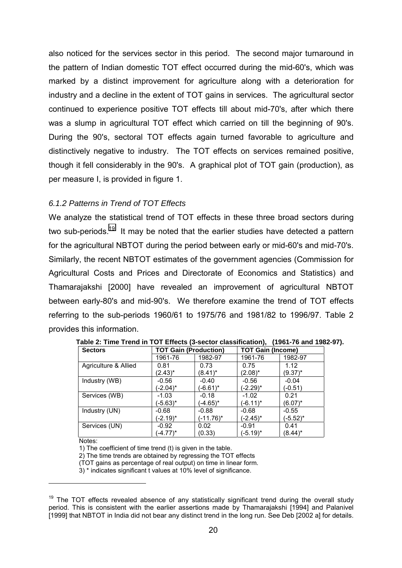also noticed for the services sector in this period. The second major turnaround in the pattern of Indian domestic TOT effect occurred during the mid-60's, which was marked by a distinct improvement for agriculture along with a deterioration for industry and a decline in the extent of TOT gains in services. The agricultural sector continued to experience positive TOT effects till about mid-70's, after which there was a slump in agricultural TOT effect which carried on till the beginning of 90's. During the 90's, sectoral TOT effects again turned favorable to agriculture and distinctively negative to industry. The TOT effects on services remained positive, though it fell considerably in the 90's. A graphical plot of TOT gain (production), as per measure I, is provided in figure 1.

# *6.1.2 Patterns in Trend of TOT Effects*

We analyze the statistical trend of TOT effects in these three broad sectors during two sub-periods.<sup>19</sup> It may be noted that the earlier studies have detected a pattern for the agricultural NBTOT during the period between early or mid-60's and mid-70's. Similarly, the recent NBTOT estimates of the government agencies (Commission for Agricultural Costs and Prices and Directorate of Economics and Statistics) and Thamarajakshi [2000] have revealed an improvement of agricultural NBTOT between early-80's and mid-90's. We therefore examine the trend of TOT effects referring to the sub-periods 1960/61 to 1975/76 and 1981/82 to 1996/97. Table 2 provides this information.

| <b>Sectors</b>       | <b>TOT Gain (Production)</b> |             | <b>TOT Gain (Income)</b> |             |  |
|----------------------|------------------------------|-------------|--------------------------|-------------|--|
|                      | 1961-76                      | 1982-97     | 1961-76                  | 1982-97     |  |
| Agriculture & Allied | 0.81                         | 0.73        | 0.75                     | 1.12        |  |
|                      | $(2.43)^*$                   | (8.41)*     | $(2.08)^*$               | (9.37)*     |  |
| Industry (WB)        | $-0.56$                      | $-0.40$     | $-0.56$                  | $-0.04$     |  |
|                      | $(-2.04)^*$                  | $(-6.61)^*$ | (-2.29)*                 | (-0.51)     |  |
| Services (WB)        | $-1.03$                      | $-0.18$     | $-1.02$                  | 0.21        |  |
|                      | (-5.63)*                     | $(-4.65)^*$ | (-6.11)*                 | $(6.07)^*$  |  |
| Industry (UN)        | $-0.68$                      | $-0.88$     | $-0.68$                  | $-0.55$     |  |
|                      | $(-2.19)^*$                  | (-11.76)*   | (-2.45)*                 | $(-5.52)^*$ |  |
| Services (UN)        | $-0.92$                      | 0.02        | -0.91                    | 0.41        |  |
|                      | $(-4.77)^*$                  | (0.33)      | (-5.19)*                 | $(8.44)^*$  |  |

**Table 2: Time Trend in TOT Effects (3-sector classification), (1961-76 and 1982-97).**

Notes:

 $\overline{a}$ 

1) The coefficient of time trend (t) is given in the table.

2) The time trends are obtained by regressing the TOT effects

(TOT gains as percentage of real output) on time in linear form.

3) \* indicates significant t values at 10% level of significance.

 $19$  The TOT effects revealed absence of any statistically significant trend during the overall study period. This is consistent with the earlier assertions made by Thamarajakshi [1994] and Palanivel [1999] that NBTOT in India did not bear any distinct trend in the long run. See Deb [2002 a] for details.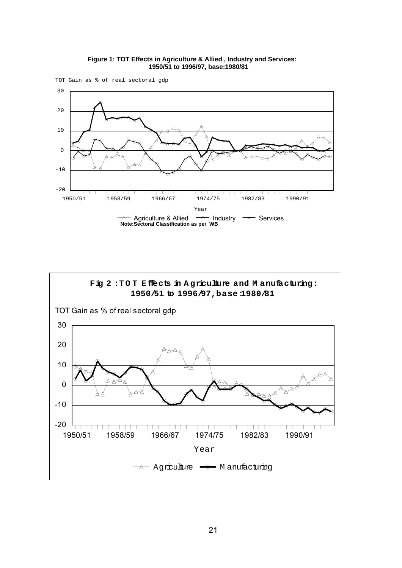

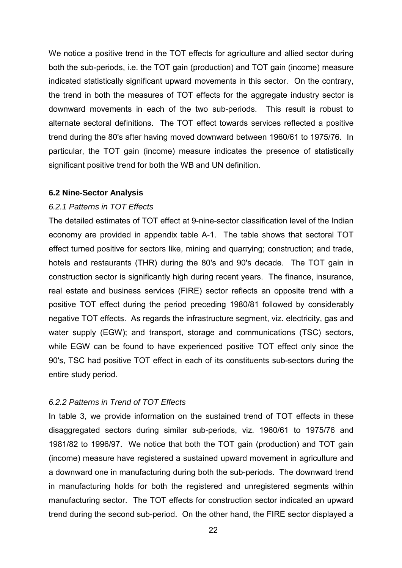We notice a positive trend in the TOT effects for agriculture and allied sector during both the sub-periods, i.e. the TOT gain (production) and TOT gain (income) measure indicated statistically significant upward movements in this sector. On the contrary, the trend in both the measures of TOT effects for the aggregate industry sector is downward movements in each of the two sub-periods. This result is robust to alternate sectoral definitions. The TOT effect towards services reflected a positive trend during the 80's after having moved downward between 1960/61 to 1975/76. In particular, the TOT gain (income) measure indicates the presence of statistically significant positive trend for both the WB and UN definition.

#### **6.2 Nine-Sector Analysis**

### *6.2.1 Patterns in TOT Effects*

The detailed estimates of TOT effect at 9-nine-sector classification level of the Indian economy are provided in appendix table A-1. The table shows that sectoral TOT effect turned positive for sectors like, mining and quarrying; construction; and trade, hotels and restaurants (THR) during the 80's and 90's decade. The TOT gain in construction sector is significantly high during recent years. The finance, insurance, real estate and business services (FIRE) sector reflects an opposite trend with a positive TOT effect during the period preceding 1980/81 followed by considerably negative TOT effects. As regards the infrastructure segment, viz. electricity, gas and water supply (EGW); and transport, storage and communications (TSC) sectors, while EGW can be found to have experienced positive TOT effect only since the 90's, TSC had positive TOT effect in each of its constituents sub-sectors during the entire study period.

#### *6.2.2 Patterns in Trend of TOT Effects*

In table 3, we provide information on the sustained trend of TOT effects in these disaggregated sectors during similar sub-periods, viz. 1960/61 to 1975/76 and 1981/82 to 1996/97. We notice that both the TOT gain (production) and TOT gain (income) measure have registered a sustained upward movement in agriculture and a downward one in manufacturing during both the sub-periods. The downward trend in manufacturing holds for both the registered and unregistered segments within manufacturing sector. The TOT effects for construction sector indicated an upward trend during the second sub-period. On the other hand, the FIRE sector displayed a

22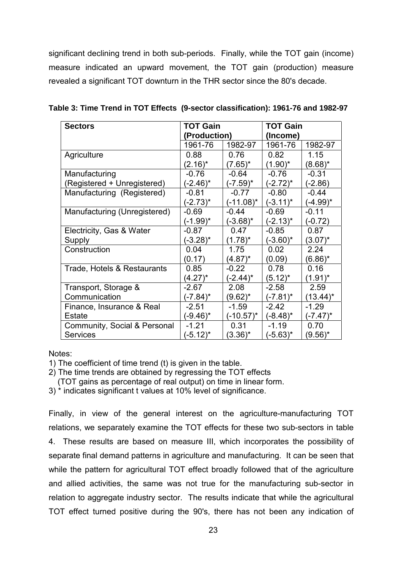significant declining trend in both sub-periods. Finally, while the TOT gain (income) measure indicated an upward movement, the TOT gain (production) measure revealed a significant TOT downturn in the THR sector since the 80's decade.

| <b>Sectors</b>               | <b>TOT Gain</b> |              | <b>TOT Gain</b> |              |  |
|------------------------------|-----------------|--------------|-----------------|--------------|--|
|                              | (Production)    |              | (Income)        |              |  |
|                              | 1961-76         | 1982-97      | 1961-76         | 1982-97      |  |
| Agriculture                  | 0.88            | 0.76         | 0.82            | 1.15         |  |
|                              | $(2.16)^*$      | $(7.65)^*$   | $(1.90)^*$      | $(8.68)^*$   |  |
| Manufacturing                | $-0.76$         | $-0.64$      | $-0.76$         | $-0.31$      |  |
| (Registered + Unregistered)  | $(-2.46)^*$     | (-7.59)*     | (-2.72)*        | $(-2.86)$    |  |
| Manufacturing (Registered)   | $-0.81$         | $-0.77$      | $-0.80$         | $-0.44$      |  |
|                              | $(-2.73)^*$     | (-11.08)*    | $(-3.11)^*$     | $(-4.99)^*$  |  |
| Manufacturing (Unregistered) | $-0.69$         | $-0.44$      | $-0.69$         | $-0.11$      |  |
|                              | (-1.99)*        | $(-3.68)^*$  | $(-2.13)^*$     | $(-0.72)$    |  |
| Electricity, Gas & Water     | $-0.87$         | 0.47         | $-0.85$         | 0.87         |  |
| Supply                       | $(-3.28)^*$     | $(1.78)^*$   | $(-3.60)^*$     | $(3.07)^{*}$ |  |
| Construction                 | 0.04            | 1.75         | 0.02            | 2.24         |  |
|                              | (0.17)          | $(4.87)^*$   | (0.09)          | (6.86)*      |  |
| Trade, Hotels & Restaurants  | 0.85            | $-0.22$      | 0.78            | 0.16         |  |
|                              | $(4.27)^*$      | (-2.44)*     | $(5.12)^{*}$    | $(1.91)^*$   |  |
| Transport, Storage &         | $-2.67$         | 2.08         | $-2.58$         | 2.59         |  |
| Communication                | (-7.84)*        | $(9.62)^*$   | $(-7.81)^*$     | $(13.44)^*$  |  |
| Finance, Insurance & Real    | $-2.51$         | $-1.59$      | $-2.42$         | $-1.29$      |  |
| Estate                       | (-9.46)*        | $(-10.57)^*$ | $(-8.48)^*$     | $(-7.47)^*$  |  |
| Community, Social & Personal | $-1.21$         | 0.31         | $-1.19$         | 0.70         |  |
| <b>Services</b>              | (-5.12)*        | $(3.36)^{*}$ | (-5.63)*        | (9.56)*      |  |

|  | Table 3: Time Trend in TOT Effects (9-sector classification): 1961-76 and 1982-97 |
|--|-----------------------------------------------------------------------------------|
|--|-----------------------------------------------------------------------------------|

Notes:

1) The coefficient of time trend (t) is given in the table.

2) The time trends are obtained by regressing the TOT effects

(TOT gains as percentage of real output) on time in linear form.

3) \* indicates significant t values at 10% level of significance.

Finally, in view of the general interest on the agriculture-manufacturing TOT relations, we separately examine the TOT effects for these two sub-sectors in table 4. These results are based on measure III, which incorporates the possibility of separate final demand patterns in agriculture and manufacturing. It can be seen that while the pattern for agricultural TOT effect broadly followed that of the agriculture and allied activities, the same was not true for the manufacturing sub-sector in relation to aggregate industry sector. The results indicate that while the agricultural TOT effect turned positive during the 90's, there has not been any indication of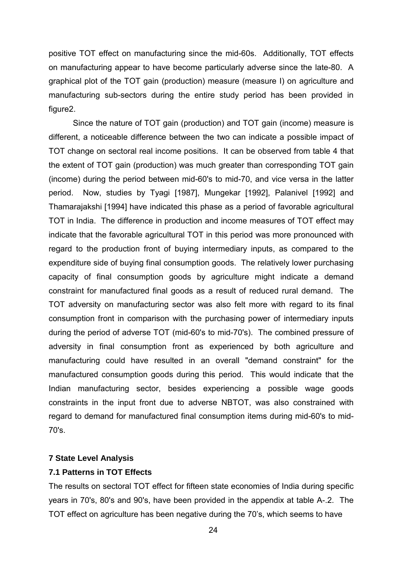positive TOT effect on manufacturing since the mid-60s. Additionally, TOT effects on manufacturing appear to have become particularly adverse since the late-80. A graphical plot of the TOT gain (production) measure (measure I) on agriculture and manufacturing sub-sectors during the entire study period has been provided in figure2.

Since the nature of TOT gain (production) and TOT gain (income) measure is different, a noticeable difference between the two can indicate a possible impact of TOT change on sectoral real income positions. It can be observed from table 4 that the extent of TOT gain (production) was much greater than corresponding TOT gain (income) during the period between mid-60's to mid-70, and vice versa in the latter period. Now, studies by Tyagi [1987], Mungekar [1992], Palanivel [1992] and Thamarajakshi [1994] have indicated this phase as a period of favorable agricultural TOT in India. The difference in production and income measures of TOT effect may indicate that the favorable agricultural TOT in this period was more pronounced with regard to the production front of buying intermediary inputs, as compared to the expenditure side of buying final consumption goods. The relatively lower purchasing capacity of final consumption goods by agriculture might indicate a demand constraint for manufactured final goods as a result of reduced rural demand. The TOT adversity on manufacturing sector was also felt more with regard to its final consumption front in comparison with the purchasing power of intermediary inputs during the period of adverse TOT (mid-60's to mid-70's). The combined pressure of adversity in final consumption front as experienced by both agriculture and manufacturing could have resulted in an overall "demand constraint" for the manufactured consumption goods during this period. This would indicate that the Indian manufacturing sector, besides experiencing a possible wage goods constraints in the input front due to adverse NBTOT, was also constrained with regard to demand for manufactured final consumption items during mid-60's to mid-70's.

### **7 State Level Analysis**

## **7.1 Patterns in TOT Effects**

The results on sectoral TOT effect for fifteen state economies of India during specific years in 70's, 80's and 90's, have been provided in the appendix at table A-.2. The TOT effect on agriculture has been negative during the 70ís, which seems to have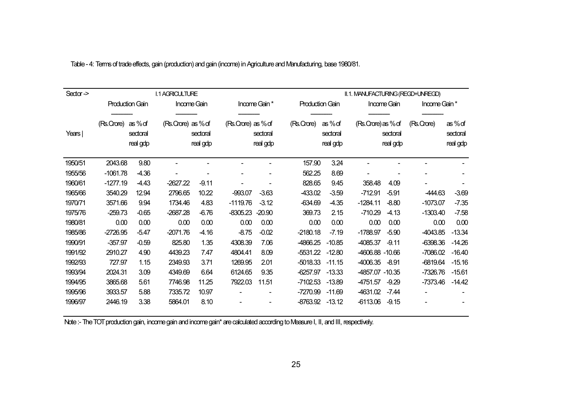| $Sector$ $\geq$ |                        | <b>I.1 AGRICULTURE</b>        |                    |                      |                    |                      | II.1. MANUFACTURING (REGD+UNREGD) |                               |                    |                      |               |                               |
|-----------------|------------------------|-------------------------------|--------------------|----------------------|--------------------|----------------------|-----------------------------------|-------------------------------|--------------------|----------------------|---------------|-------------------------------|
|                 | <b>Production Gain</b> |                               | Income Gain        |                      |                    | Income Gain *        | <b>Production Gain</b>            |                               |                    | Income Gain          | Income Gain * |                               |
| Years           | (Rs.Crore)             | as%of<br>sectoral<br>real gdp | (Rs.Crore) as % of | sectoral<br>real gdp | (Rs.Crore) as % of | sectoral<br>real gdp | (Rs.Crore)                        | as%of<br>sectoral<br>real gdp | (Rs.Crore) as % of | sectoral<br>real gdp | (Rs.Crare)    | as%of<br>sectoral<br>real gdp |
| 1950/51         | 2043.68                | 9.80                          |                    |                      |                    |                      | 157.90                            | 3.24                          |                    |                      |               |                               |
| 1955/56         | $-1061.78$             | $-4.36$                       |                    |                      |                    |                      | 562.25                            | 8.69                          |                    |                      |               |                               |
| 1960/61         | $-1277.19$             | $-4.43$                       | $-2627.22$         | $-9.11$              |                    |                      | 828.65                            | 9.45                          | 358.48             | 4.09                 |               |                               |
| 1965/66         | 3540.29                | 12.94                         | 2796.65            | 10.22                | $-993.07$          | $-3.63$              | -433.02                           | $-3.59$                       | $-712.91$          | $-5.91$              | -444.63       | $-3.69$                       |
| 1970/71         | 3571.66                | 9.94                          | 1734.46            | 4.83                 | $-1119.76$         | $-3.12$              | $-634.69$                         | $-4.35$                       | $-1284.11$         | $-8.80$              | $-1073.07$    | $-7.35$                       |
| 1975/76         | $-259.73$              | $-0.65$                       | $-2687.28$         | $-6.76$              | $-8305.23$         | $-20.90$             | 369.73                            | 2.15                          | $-710.29$          | $-4.13$              | $-1303.40$    | $-7.58$                       |
| 1980/81         | 0.00                   | 0.00                          | 0.00               | 0.00                 | 0.00               | 0.00                 | 0.00                              | 0.00                          | 0.00               | 0.00                 | 0.00          | 0.00                          |
| 1985/86         | $-2726.95$             | $-5.47$                       | $-2071.76$         | $-4.16$              | $-8.75$            | $-0.02$              | $-2180.18$                        | $-7.19$                       | $-1788.97$         | $-5.90$              | -4043.85      | $-13.34$                      |
| 1990/91         | $-357.97$              | $-0.59$                       | 825.80             | 1.35                 | 4308.39            | 7.06                 | -4866.25                          | $-10.85$                      | -4085.37           | $-9.11$              | $-6398.36$    | $-14.26$                      |
| 1991/92         | 2910.27                | 4.90                          | 4439.23            | 7.47                 | 4804.41            | 8.09                 | $-5531.22$                        | $-12.80$                      | -4606.88 -10.66    |                      | $-7086.02$    | $-16.40$                      |
| 1992/93         | 727.97                 | 1.15                          | 2349.93            | 3.71                 | 1269.95            | 2.01                 | $-5018.33$                        | $-11.15$                      | -4006.35           | $-8.91$              | -6819.64      | $-15.16$                      |
| 1993/94         | 2024.31                | 3.09                          | 4349.69            | 6.64                 | 6124.65            | 9.35                 | $-6257.97$                        | $-13.33$                      | -4857.07 -10.35    |                      | $-7326.76$    | $-15.61$                      |
| 1994/95         | 3865.68                | 5.61                          | 7746.98            | 11.25                | 7922.03            | 11.51                | $-7102.53$                        | $-13.89$                      | 4751.57            | $-9.29$              | -7373.46      | $-14.42$                      |
| 1995/96         | 3933.57                | 5.88                          | 7335.72            | 10.97                |                    |                      | -7270.99                          | $-11.69$                      | -4631.02           | $-7.44$              |               |                               |
| 1996/97         | 2446.19                | 3.38                          | 5864.01            | 8.10                 |                    |                      | $-8763.92$                        | $-13.12$                      | $-6113.06$         | $-9.15$              |               |                               |

Table - 4: Terms of trade effects, gain (production) and gain (income) in Agriculture and Manufacturing, base 1980/81.

Note :- The TOT production gain, income gain and income gain\* are calculated according to Measure I, II, and III, respectively.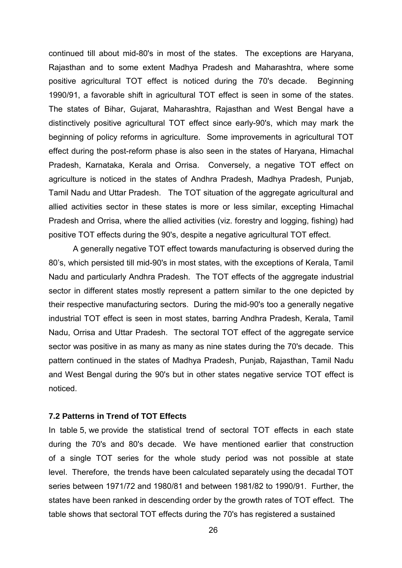continued till about mid-80's in most of the states. The exceptions are Haryana, Rajasthan and to some extent Madhya Pradesh and Maharashtra, where some positive agricultural TOT effect is noticed during the 70's decade. Beginning 1990/91, a favorable shift in agricultural TOT effect is seen in some of the states. The states of Bihar, Gujarat, Maharashtra, Rajasthan and West Bengal have a distinctively positive agricultural TOT effect since early-90's, which may mark the beginning of policy reforms in agriculture. Some improvements in agricultural TOT effect during the post-reform phase is also seen in the states of Haryana, Himachal Pradesh, Karnataka, Kerala and Orrisa. Conversely, a negative TOT effect on agriculture is noticed in the states of Andhra Pradesh, Madhya Pradesh, Punjab, Tamil Nadu and Uttar Pradesh. The TOT situation of the aggregate agricultural and allied activities sector in these states is more or less similar, excepting Himachal Pradesh and Orrisa, where the allied activities (viz. forestry and logging, fishing) had positive TOT effects during the 90's, despite a negative agricultural TOT effect.

A generally negative TOT effect towards manufacturing is observed during the 80ís, which persisted till mid-90's in most states, with the exceptions of Kerala, Tamil Nadu and particularly Andhra Pradesh. The TOT effects of the aggregate industrial sector in different states mostly represent a pattern similar to the one depicted by their respective manufacturing sectors. During the mid-90's too a generally negative industrial TOT effect is seen in most states, barring Andhra Pradesh, Kerala, Tamil Nadu, Orrisa and Uttar Pradesh. The sectoral TOT effect of the aggregate service sector was positive in as many as many as nine states during the 70's decade. This pattern continued in the states of Madhya Pradesh, Punjab, Rajasthan, Tamil Nadu and West Bengal during the 90's but in other states negative service TOT effect is noticed.

### **7.2 Patterns in Trend of TOT Effects**

In table 5, we provide the statistical trend of sectoral TOT effects in each state during the 70's and 80's decade. We have mentioned earlier that construction of a single TOT series for the whole study period was not possible at state level. Therefore, the trends have been calculated separately using the decadal TOT series between 1971/72 and 1980/81 and between 1981/82 to 1990/91. Further, the states have been ranked in descending order by the growth rates of TOT effect. The table shows that sectoral TOT effects during the 70's has registered a sustained

26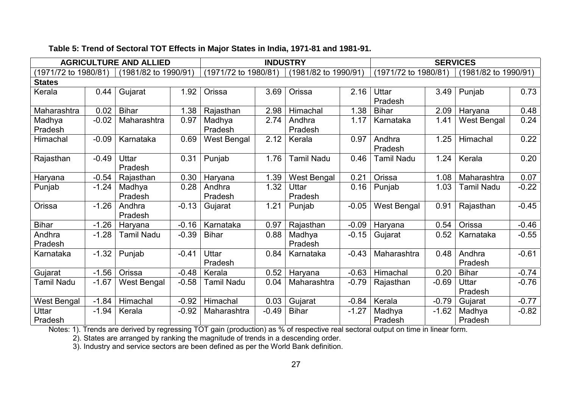|                      |         | <b>AGRICULTURE AND ALLIED</b> |         |                      | <b>INDUSTRY</b> | <b>SERVICES</b>      |         |                      |         |                   |                      |  |
|----------------------|---------|-------------------------------|---------|----------------------|-----------------|----------------------|---------|----------------------|---------|-------------------|----------------------|--|
| (1971/72 to 1980/81) |         | (1981/82 to 1990/91)          |         | (1971/72 to 1980/81) |                 | (1981/82 to 1990/91) |         | (1971/72 to 1980/81) |         |                   | (1981/82 to 1990/91) |  |
| <b>States</b>        |         |                               |         |                      |                 |                      |         |                      |         |                   |                      |  |
| Kerala               | 0.44    | Gujarat                       | 1.92    | Orissa               | 3.69            | Orissa               | 2.16    | Uttar<br>Pradesh     | 3.49    | Punjab            | 0.73                 |  |
| Maharashtra          | 0.02    | <b>Bihar</b>                  | 1.38    | Rajasthan            | 2.98            | Himachal             | 1.38    | <b>Bihar</b>         | 2.09    | Haryana           | 0.48                 |  |
| Madhya<br>Pradesh    | $-0.02$ | Maharashtra                   | 0.97    | Madhya<br>Pradesh    | 2.74            | Andhra<br>Pradesh    | 1.17    | Karnataka            | 1.41    | West Bengal       | 0.24                 |  |
| Himachal             | $-0.09$ | Karnataka                     | 0.69    | West Bengal          | 2.12            | Kerala               | 0.97    | Andhra<br>Pradesh    | 1.25    | Himachal          | 0.22                 |  |
| Rajasthan            | $-0.49$ | Uttar<br>Pradesh              | 0.31    | Punjab               | 1.76            | Tamil Nadu           | 0.46    | <b>Tamil Nadu</b>    | 1.24    | Kerala            | 0.20                 |  |
| Haryana              | $-0.54$ | Rajasthan                     | 0.30    | Haryana              | 1.39            | West Bengal          | 0.21    | Orissa               | 1.08    | Maharashtra       | 0.07                 |  |
| Punjab               | $-1.24$ | Madhya<br>Pradesh             | 0.28    | Andhra<br>Pradesh    | 1.32            | Uttar<br>Pradesh     | 0.16    | Punjab               | 1.03    | Tamil Nadu        | $-0.22$              |  |
| Orissa               | $-1.26$ | Andhra<br>Pradesh             | $-0.13$ | Gujarat              | 1.21            | Punjab               | $-0.05$ | <b>West Bengal</b>   | 0.91    | Rajasthan         | $-0.45$              |  |
| <b>Bihar</b>         | $-1.26$ | Haryana                       | $-0.16$ | Karnataka            | 0.97            | Rajasthan            | $-0.09$ | Haryana              | 0.54    | Orissa            | $-0.46$              |  |
| Andhra<br>Pradesh    | $-1.28$ | <b>Tamil Nadu</b>             | $-0.39$ | <b>Bihar</b>         | 0.88            | Madhya<br>Pradesh    | $-0.15$ | Gujarat              | 0.52    | Karnataka         | $-0.55$              |  |
| Karnataka            | $-1.32$ | Punjab                        | $-0.41$ | Uttar<br>Pradesh     | 0.84            | Karnataka            | $-0.43$ | Maharashtra          | 0.48    | Andhra<br>Pradesh | $-0.61$              |  |
| Gujarat              | $-1.56$ | Orissa                        | $-0.48$ | Kerala               | 0.52            | Haryana              | $-0.63$ | Himachal             | 0.20    | <b>Bihar</b>      | $-0.74$              |  |
| <b>Tamil Nadu</b>    | $-1.67$ | West Bengal                   | $-0.58$ | Tamil Nadu           | 0.04            | Maharashtra          | $-0.79$ | Rajasthan            | $-0.69$ | Uttar<br>Pradesh  | $-0.76$              |  |
| West Bengal          | $-1.84$ | Himachal                      | $-0.92$ | Himachal             | 0.03            | Gujarat              | $-0.84$ | Kerala               | $-0.79$ | Gujarat           | $-0.77$              |  |
| Uttar<br>Pradesh     | $-1.94$ | Kerala                        | $-0.92$ | Maharashtra          | $-0.49$         | <b>Bihar</b>         | $-1.27$ | Madhya<br>Pradesh    | $-1.62$ | Madhya<br>Pradesh | $-0.82$              |  |

## **Table 5: Trend of Sectoral TOT Effects in Major States in India, 1971-81 and 1981-91.**

Notes: 1). Trends are derived by regressing TOT gain (production) as % of respective real sectoral output on time in linear form.

2). States are arranged by ranking the magnitude of trends in a descending order.

3). Industry and service sectors are been defined as per the World Bank definition.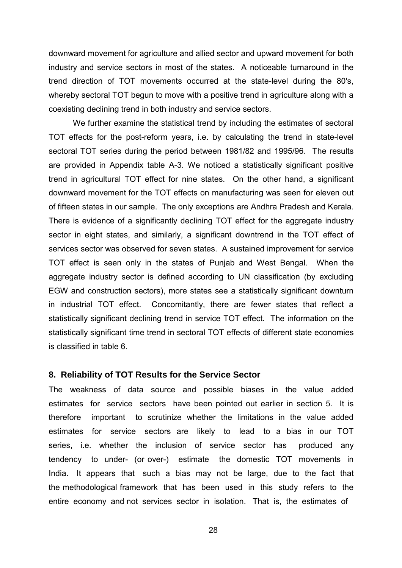downward movement for agriculture and allied sector and upward movement for both industry and service sectors in most of the states. A noticeable turnaround in the trend direction of TOT movements occurred at the state-level during the 80's, whereby sectoral TOT begun to move with a positive trend in agriculture along with a coexisting declining trend in both industry and service sectors.

We further examine the statistical trend by including the estimates of sectoral TOT effects for the post-reform years, i.e. by calculating the trend in state-level sectoral TOT series during the period between 1981/82 and 1995/96. The results are provided in Appendix table A-3. We noticed a statistically significant positive trend in agricultural TOT effect for nine states. On the other hand, a significant downward movement for the TOT effects on manufacturing was seen for eleven out of fifteen states in our sample. The only exceptions are Andhra Pradesh and Kerala. There is evidence of a significantly declining TOT effect for the aggregate industry sector in eight states, and similarly, a significant downtrend in the TOT effect of services sector was observed for seven states. A sustained improvement for service TOT effect is seen only in the states of Punjab and West Bengal. When the aggregate industry sector is defined according to UN classification (by excluding EGW and construction sectors), more states see a statistically significant downturn in industrial TOT effect. Concomitantly, there are fewer states that reflect a statistically significant declining trend in service TOT effect. The information on the statistically significant time trend in sectoral TOT effects of different state economies is classified in table 6.

#### **8. Reliability of TOT Results for the Service Sector**

The weakness of data source and possible biases in the value added estimates for service sectors have been pointed out earlier in section 5. It is therefore important to scrutinize whether the limitations in the value added estimates for service sectors are likely to lead to a bias in our TOT series, i.e. whether the inclusion of service sector has produced any tendency to under- (or over-) estimate the domestic TOT movements in India. It appears that such a bias may not be large, due to the fact that the methodological framework that has been used in this study refers to the entire economy and not services sector in isolation. That is, the estimates of

28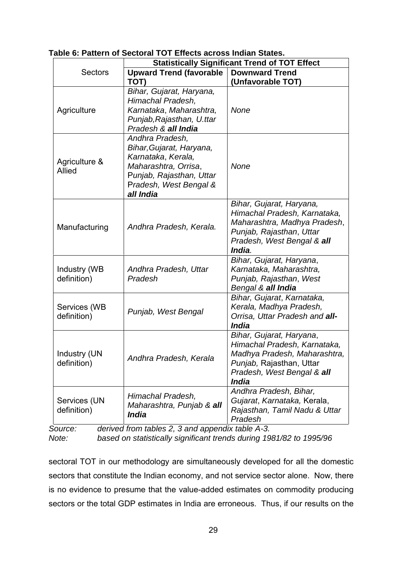|                             | <b>Statistically Significant Trend of TOT Effect</b>                                                                                                         |                                                                                                                                                                    |  |  |  |  |
|-----------------------------|--------------------------------------------------------------------------------------------------------------------------------------------------------------|--------------------------------------------------------------------------------------------------------------------------------------------------------------------|--|--|--|--|
| <b>Sectors</b>              | <b>Upward Trend (favorable</b>                                                                                                                               | <b>Downward Trend</b>                                                                                                                                              |  |  |  |  |
|                             | TOT)                                                                                                                                                         | (Unfavorable TOT)                                                                                                                                                  |  |  |  |  |
| Agriculture                 | Bihar, Gujarat, Haryana,<br>Himachal Pradesh,<br>Karnataka, Maharashtra,<br>Punjab, Rajasthan, U.ttar<br>Pradesh & all India                                 | <b>None</b>                                                                                                                                                        |  |  |  |  |
| Agriculture &<br>Allied     | Andhra Pradesh,<br>Bihar, Gujarat, Haryana,<br>Karnataka, Kerala,<br>Maharashtra, Orrisa,<br>Punjab, Rajasthan, Uttar<br>Pradesh, West Bengal &<br>all India | <b>None</b>                                                                                                                                                        |  |  |  |  |
| Manufacturing               | Andhra Pradesh, Kerala.                                                                                                                                      | Bihar, Gujarat, Haryana,<br>Himachal Pradesh, Karnataka,<br>Maharashtra, Madhya Pradesh,<br>Punjab, Rajasthan, Uttar<br>Pradesh, West Bengal & all<br>India.       |  |  |  |  |
| Industry (WB<br>definition) | Andhra Pradesh, Uttar<br>Pradesh                                                                                                                             | Bihar, Gujarat, Haryana,<br>Karnataka, Maharashtra,<br>Punjab, Rajasthan, West<br>Bengal & all India                                                               |  |  |  |  |
| Services (WB<br>definition) | Punjab, West Bengal                                                                                                                                          | Bihar, Gujarat, Karnataka,<br>Kerala, Madhya Pradesh,<br>Orrisa, Uttar Pradesh and all-<br><b>India</b>                                                            |  |  |  |  |
| Industry (UN<br>definition) | Andhra Pradesh, Kerala                                                                                                                                       | Bihar, Gujarat, Haryana,<br>Himachal Pradesh, Karnataka,<br>Madhya Pradesh, Maharashtra,<br>Punjab, Rajasthan, Uttar<br>Pradesh, West Bengal & all<br><b>India</b> |  |  |  |  |
| Services (UN<br>definition) | Himachal Pradesh,<br>Maharashtra, Punjab & all<br><i><b>India</b></i>                                                                                        | Andhra Pradesh, Bihar,<br>Gujarat, Karnataka, Kerala,<br>Rajasthan, Tamil Nadu & Uttar<br>Pradesh                                                                  |  |  |  |  |

**Table 6: Pattern of Sectoral TOT Effects across Indian States.**

*Source: derived from tables 2, 3 and appendix table A-3. Note: based on statistically significant trends during 1981/82 to 1995/96*

sectoral TOT in our methodology are simultaneously developed for all the domestic sectors that constitute the Indian economy, and not service sector alone. Now, there is no evidence to presume that the value-added estimates on commodity producing sectors or the total GDP estimates in India are erroneous. Thus, if our results on the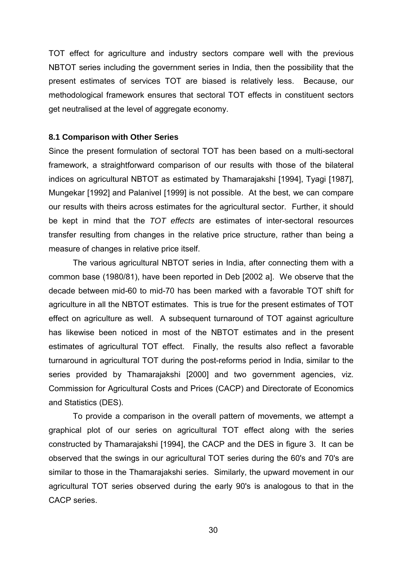TOT effect for agriculture and industry sectors compare well with the previous NBTOT series including the government series in India, then the possibility that the present estimates of services TOT are biased is relatively less. Because, our methodological framework ensures that sectoral TOT effects in constituent sectors get neutralised at the level of aggregate economy.

#### **8.1 Comparison with Other Series**

Since the present formulation of sectoral TOT has been based on a multi-sectoral framework, a straightforward comparison of our results with those of the bilateral indices on agricultural NBTOT as estimated by Thamarajakshi [1994], Tyagi [1987], Mungekar [1992] and Palanivel [1999] is not possible. At the best, we can compare our results with theirs across estimates for the agricultural sector. Further, it should be kept in mind that the *TOT effects* are estimates of inter-sectoral resources transfer resulting from changes in the relative price structure, rather than being a measure of changes in relative price itself.

The various agricultural NBTOT series in India, after connecting them with a common base (1980/81), have been reported in Deb [2002 a]. We observe that the decade between mid-60 to mid-70 has been marked with a favorable TOT shift for agriculture in all the NBTOT estimates. This is true for the present estimates of TOT effect on agriculture as well. A subsequent turnaround of TOT against agriculture has likewise been noticed in most of the NBTOT estimates and in the present estimates of agricultural TOT effect. Finally, the results also reflect a favorable turnaround in agricultural TOT during the post-reforms period in India, similar to the series provided by Thamarajakshi [2000] and two government agencies, viz. Commission for Agricultural Costs and Prices (CACP) and Directorate of Economics and Statistics (DES).

To provide a comparison in the overall pattern of movements, we attempt a graphical plot of our series on agricultural TOT effect along with the series constructed by Thamarajakshi [1994], the CACP and the DES in figure 3. It can be observed that the swings in our agricultural TOT series during the 60's and 70's are similar to those in the Thamarajakshi series. Similarly, the upward movement in our agricultural TOT series observed during the early 90's is analogous to that in the CACP series.

30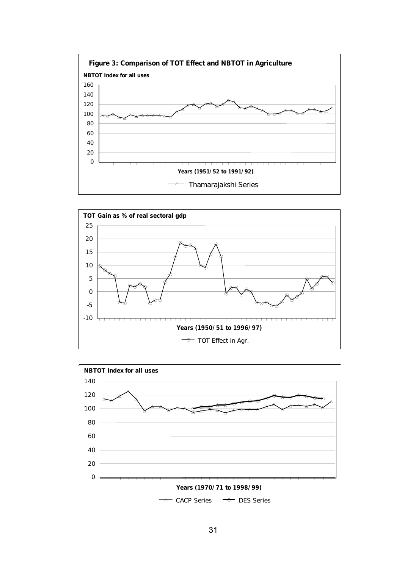



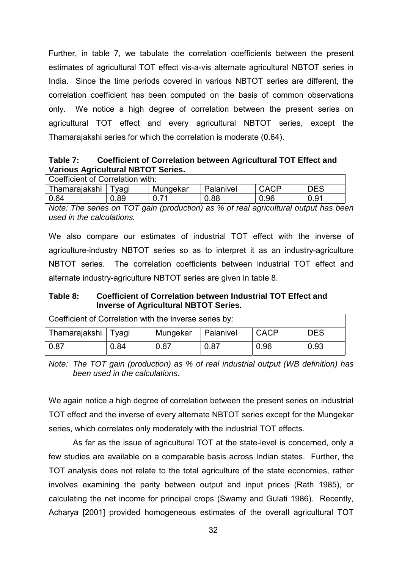Further, in table 7, we tabulate the correlation coefficients between the present estimates of agricultural TOT effect vis-a-vis alternate agricultural NBTOT series in India. Since the time periods covered in various NBTOT series are different, the correlation coefficient has been computed on the basis of common observations only. We notice a high degree of correlation between the present series on agricultural TOT effect and every agricultural NBTOT series, except the Thamarajakshi series for which the correlation is moderate (0.64).

## **Table 7: Coefficient of Correlation between Agricultural TOT Effect and Various Agricultural NBTOT Series.**

| Coefficient of Correlation with:                                             |      |  |      |      |      |  |  |  |
|------------------------------------------------------------------------------|------|--|------|------|------|--|--|--|
| <b>CACP</b><br>Thamarajakshi<br><b>DES</b><br>Mungekar<br>Palanivel<br>`vagi |      |  |      |      |      |  |  |  |
| 0.64                                                                         | 0.89 |  | 0.88 | 0.96 | 0.91 |  |  |  |

*Note: The series on TOT gain (production) as % of real agricultural output has been used in the calculations.*

We also compare our estimates of industrial TOT effect with the inverse of agriculture-industry NBTOT series so as to interpret it as an industry-agriculture NBTOT series. The correlation coefficients between industrial TOT effect and alternate industry-agriculture NBTOT series are given in table 8.

**Table 8: Coefficient of Correlation between Industrial TOT Effect and Inverse of Agricultural NBTOT Series.**

| Coefficient of Correlation with the inverse series by: |  |          |           |             |            |  |  |  |
|--------------------------------------------------------|--|----------|-----------|-------------|------------|--|--|--|
| Thamarajakshi   Tyagi                                  |  | Mungekar | Palanivel | <b>CACP</b> | <b>DES</b> |  |  |  |
| 0.87<br>0.67<br>0.96<br>0.87<br>0.93<br>0.84           |  |          |           |             |            |  |  |  |

*Note: The TOT gain (production) as % of real industrial output (WB definition) has been used in the calculations.*

We again notice a high degree of correlation between the present series on industrial TOT effect and the inverse of every alternate NBTOT series except for the Mungekar series, which correlates only moderately with the industrial TOT effects.

As far as the issue of agricultural TOT at the state-level is concerned, only a few studies are available on a comparable basis across Indian states. Further, the TOT analysis does not relate to the total agriculture of the state economies, rather involves examining the parity between output and input prices (Rath 1985), or calculating the net income for principal crops (Swamy and Gulati 1986). Recently, Acharya [2001] provided homogeneous estimates of the overall agricultural TOT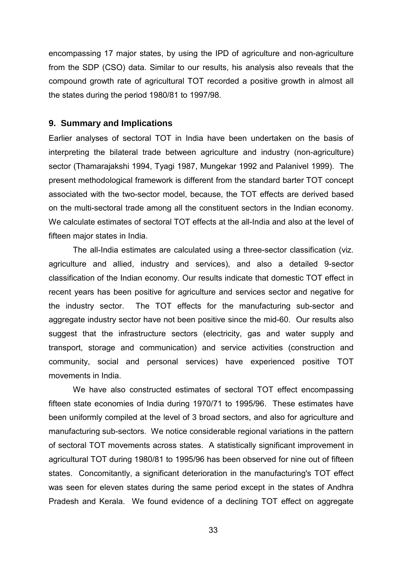encompassing 17 major states, by using the IPD of agriculture and non-agriculture from the SDP (CSO) data. Similar to our results, his analysis also reveals that the compound growth rate of agricultural TOT recorded a positive growth in almost all the states during the period 1980/81 to 1997/98.

### **9. Summary and Implications**

Earlier analyses of sectoral TOT in India have been undertaken on the basis of interpreting the bilateral trade between agriculture and industry (non-agriculture) sector (Thamarajakshi 1994, Tyagi 1987, Mungekar 1992 and Palanivel 1999). The present methodological framework is different from the standard barter TOT concept associated with the two-sector model, because, the TOT effects are derived based on the multi-sectoral trade among all the constituent sectors in the Indian economy. We calculate estimates of sectoral TOT effects at the all-India and also at the level of fifteen major states in India.

The all-India estimates are calculated using a three-sector classification (viz. agriculture and allied, industry and services), and also a detailed 9-sector classification of the Indian economy. Our results indicate that domestic TOT effect in recent years has been positive for agriculture and services sector and negative for the industry sector. The TOT effects for the manufacturing sub-sector and aggregate industry sector have not been positive since the mid-60. Our results also suggest that the infrastructure sectors (electricity, gas and water supply and transport, storage and communication) and service activities (construction and community, social and personal services) have experienced positive TOT movements in India.

We have also constructed estimates of sectoral TOT effect encompassing fifteen state economies of India during 1970/71 to 1995/96. These estimates have been uniformly compiled at the level of 3 broad sectors, and also for agriculture and manufacturing sub-sectors. We notice considerable regional variations in the pattern of sectoral TOT movements across states. A statistically significant improvement in agricultural TOT during 1980/81 to 1995/96 has been observed for nine out of fifteen states. Concomitantly, a significant deterioration in the manufacturing's TOT effect was seen for eleven states during the same period except in the states of Andhra Pradesh and Kerala. We found evidence of a declining TOT effect on aggregate

33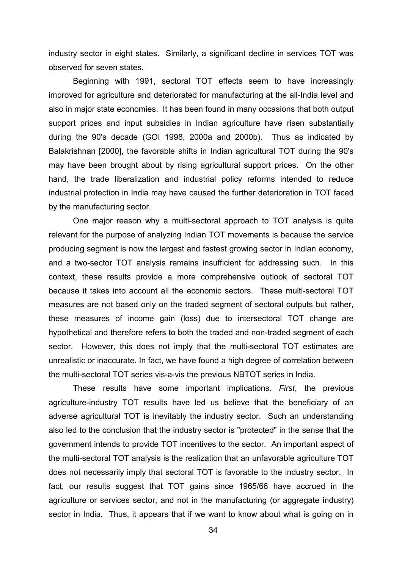industry sector in eight states. Similarly, a significant decline in services TOT was observed for seven states.

Beginning with 1991, sectoral TOT effects seem to have increasingly improved for agriculture and deteriorated for manufacturing at the all-India level and also in major state economies. It has been found in many occasions that both output support prices and input subsidies in Indian agriculture have risen substantially during the 90's decade (GOI 1998, 2000a and 2000b). Thus as indicated by Balakrishnan [2000], the favorable shifts in Indian agricultural TOT during the 90's may have been brought about by rising agricultural support prices. On the other hand, the trade liberalization and industrial policy reforms intended to reduce industrial protection in India may have caused the further deterioration in TOT faced by the manufacturing sector.

One major reason why a multi-sectoral approach to TOT analysis is quite relevant for the purpose of analyzing Indian TOT movements is because the service producing segment is now the largest and fastest growing sector in Indian economy, and a two-sector TOT analysis remains insufficient for addressing such. In this context, these results provide a more comprehensive outlook of sectoral TOT because it takes into account all the economic sectors. These multi-sectoral TOT measures are not based only on the traded segment of sectoral outputs but rather, these measures of income gain (loss) due to intersectoral TOT change are hypothetical and therefore refers to both the traded and non-traded segment of each sector. However, this does not imply that the multi-sectoral TOT estimates are unrealistic or inaccurate. In fact, we have found a high degree of correlation between the multi-sectoral TOT series vis-a-vis the previous NBTOT series in India.

These results have some important implications. *First*, the previous agriculture-industry TOT results have led us believe that the beneficiary of an adverse agricultural TOT is inevitably the industry sector. Such an understanding also led to the conclusion that the industry sector is "protected" in the sense that the government intends to provide TOT incentives to the sector. An important aspect of the multi-sectoral TOT analysis is the realization that an unfavorable agriculture TOT does not necessarily imply that sectoral TOT is favorable to the industry sector. In fact, our results suggest that TOT gains since 1965/66 have accrued in the agriculture or services sector, and not in the manufacturing (or aggregate industry) sector in India. Thus, it appears that if we want to know about what is going on in

34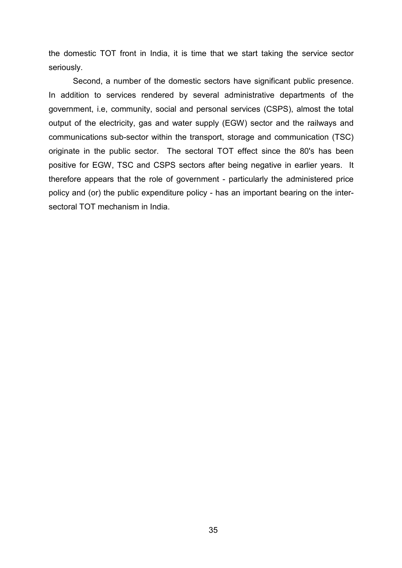the domestic TOT front in India, it is time that we start taking the service sector seriously.

Second, a number of the domestic sectors have significant public presence. In addition to services rendered by several administrative departments of the government, i.e, community, social and personal services (CSPS), almost the total output of the electricity, gas and water supply (EGW) sector and the railways and communications sub-sector within the transport, storage and communication (TSC) originate in the public sector. The sectoral TOT effect since the 80's has been positive for EGW, TSC and CSPS sectors after being negative in earlier years. It therefore appears that the role of government - particularly the administered price policy and (or) the public expenditure policy - has an important bearing on the intersectoral TOT mechanism in India.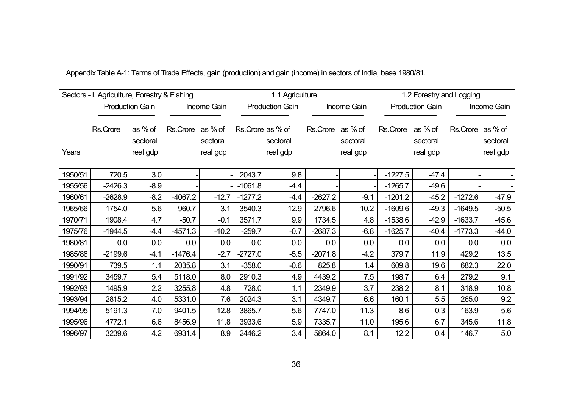|         | Sectors - I. Agriculture, Forestry & Fishing |                                 |                  |                      |                   | 1.1 Agriculture        |                  |                      |                  |                        | 1.2 Forestry and Logging |                      |
|---------|----------------------------------------------|---------------------------------|------------------|----------------------|-------------------|------------------------|------------------|----------------------|------------------|------------------------|--------------------------|----------------------|
|         |                                              | <b>Production Gain</b>          |                  | Income Gain          |                   | <b>Production Gain</b> |                  | Income Gain          |                  | <b>Production Gain</b> | <b>Income Gain</b>       |                      |
| Years   | Rs.Crore                                     | as % of<br>sectoral<br>real gdp | Rs.Crore as % of | sectoral<br>real gdp | Rs. Crore as % of | sectoral<br>real gdp   | Rs.Crore as % of | sectoral<br>real gdp | Rs.Crore as % of | sectoral<br>real gdp   | Rs.Crore as % of         | sectoral<br>real gdp |
| 1950/51 | 720.5                                        | 3.0                             |                  |                      | 2043.7            | 9.8                    |                  |                      | $-1227.5$        | $-47.4$                |                          |                      |
| 1955/56 | $-2426.3$                                    | $-8.9$                          |                  |                      | $-1061.8$         | $-4.4$                 |                  |                      | $-1265.7$        | $-49.6$                |                          |                      |
| 1960/61 | $-2628.9$                                    | $-8.2$                          | $-4067.2$        | $-12.7$              | $-1277.2$         | $-4.4$                 | $-2627.2$        | $-9.1$               | $-1201.2$        | $-45.2$                | $-1272.6$                | $-47.9$              |
| 1965/66 | 1754.0                                       | 5.6                             | 960.7            | 3.1                  | 3540.3            | 12.9                   | 2796.6           | 10.2                 | $-1609.6$        | $-49.3$                | $-1649.5$                | $-50.5$              |
| 1970/71 | 1908.4                                       | 4.7                             | $-50.7$          | $-0.1$               | 3571.7            | 9.9                    | 1734.5           | 4.8                  | $-1538.6$        | $-42.9$                | $-1633.7$                | $-45.6$              |
| 1975/76 | $-1944.5$                                    | $-4.4$                          | $-4571.3$        | $-10.2$              | $-259.7$          | $-0.7$                 | $-2687.3$        | $-6.8$               | $-1625.7$        | $-40.4$                | $-1773.3$                | $-44.0$              |
| 1980/81 | 0.0                                          | 0.0                             | 0.0              | 0.0                  | 0.0               | 0.0                    | 0.0              | 0.0                  | 0.0              | 0.0                    | 0.0                      | 0.0                  |
| 1985/86 | $-2199.6$                                    | $-4.1$                          | $-1476.4$        | $-2.7$               | $-2727.0$         | $-5.5$                 | $-2071.8$        | $-4.2$               | 379.7            | 11.9                   | 429.2                    | 13.5                 |
| 1990/91 | 739.5                                        | 1.1                             | 2035.8           | 3.1                  | $-358.0$          | $-0.6$                 | 825.8            | 1.4                  | 609.8            | 19.6                   | 682.3                    | 22.0                 |
| 1991/92 | 3459.7                                       | 5.4                             | 5118.0           | 8.0                  | 2910.3            | 4.9                    | 4439.2           | 7.5                  | 198.7            | 6.4                    | 279.2                    | 9.1                  |
| 1992/93 | 1495.9                                       | 2.2                             | 3255.8           | 4.8                  | 728.0             | 1.1                    | 2349.9           | 3.7                  | 238.2            | 8.1                    | 318.9                    | 10.8                 |
| 1993/94 | 2815.2                                       | 4.0                             | 5331.0           | 7.6                  | 2024.3            | 3.1                    | 4349.7           | 6.6                  | 160.1            | 5.5                    | 265.0                    | 9.2                  |
| 1994/95 | 5191.3                                       | 7.0                             | 9401.5           | 12.8                 | 3865.7            | 5.6                    | 7747.0           | 11.3                 | 8.6              | 0.3                    | 163.9                    | 5.6                  |
| 1995/96 | 4772.1                                       | 6.6                             | 8456.9           | 11.8                 | 3933.6            | 5.9                    | 7335.7           | 11.0                 | 195.6            | 6.7                    | 345.6                    | 11.8                 |
| 1996/97 | 3239.6                                       | 4.2                             | 6931.4           | 8.9                  | 2446.2            | 3.4                    | 5864.0           | 8.1                  | 12.2             | 0.4                    | 146.7                    | 5.0                  |

Appendix Table A-1: Terms of Trade Effects, gain (production) and gain (income) in sectors of India, base 1980/81.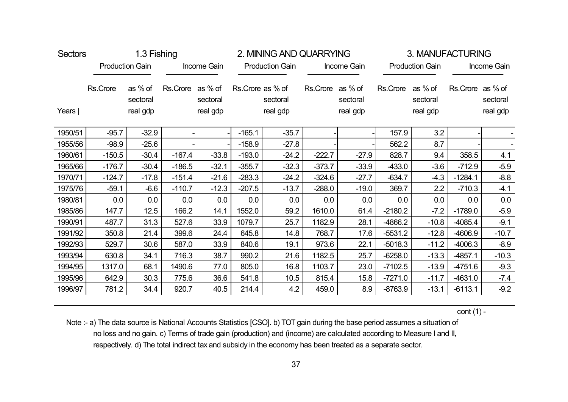| <b>Sectors</b> |          | 1.3 Fishing<br><b>Production Gain</b> |                  |                      |                  | 2. MINING AND QUARRYING |                  |                      |           |                                 | 3. MANUFACTURING |                      |
|----------------|----------|---------------------------------------|------------------|----------------------|------------------|-------------------------|------------------|----------------------|-----------|---------------------------------|------------------|----------------------|
|                |          |                                       |                  | Income Gain          |                  | <b>Production Gain</b>  |                  | Income Gain          |           | <b>Production Gain</b>          |                  | Income Gain          |
| Years          | Rs.Crore | as % of<br>sectoral<br>real gdp       | Rs.Crore as % of | sectoral<br>real gdp | Rs.Crore as % of | sectoral<br>real gdp    | Rs.Crore as % of | sectoral<br>real gdp | Rs.Crore  | as % of<br>sectoral<br>real gdp | Rs.Crore as % of | sectoral<br>real gdp |
| 1950/51        | $-95.7$  | $-32.9$                               |                  |                      | $-165.1$         | $-35.7$                 |                  |                      | 157.9     | 3.2                             |                  |                      |
| 1955/56        | $-98.9$  | $-25.6$                               |                  |                      | $-158.9$         | $-27.8$                 |                  |                      | 562.2     | 8.7                             |                  |                      |
| 1960/61        | $-150.5$ | $-30.4$                               | $-167.4$         | $-33.8$              | $-193.0$         | $-24.2$                 | $-222.7$         | $-27.9$              | 828.7     | 9.4                             | 358.5            | 4.1                  |
| 1965/66        | $-176.7$ | $-30.4$                               | $-186.5$         | $-32.1$              | $-355.7$         | $-32.3$                 | $-373.7$         | $-33.9$              | $-433.0$  | $-3.6$                          | $-712.9$         | $-5.9$               |
| 1970/71        | $-124.7$ | $-17.8$                               | $-151.4$         | $-21.6$              | $-283.3$         | $-24.2$                 | $-324.6$         | $-27.7$              | $-634.7$  | $-4.3$                          | $-1284.1$        | $-8.8$               |
| 1975/76        | $-59.1$  | $-6.6$                                | $-110.7$         | $-12.3$              | $-207.5$         | $-13.7$                 | $-288.0$         | $-19.0$              | 369.7     | 2.2                             | $-710.3$         | $-4.1$               |
| 1980/81        | 0.0      | 0.0                                   | 0.0              | 0.0                  | 0.0              | 0.0                     | 0.0              | 0.0                  | 0.0       | 0.0                             | 0.0              | 0.0                  |
| 1985/86        | 147.7    | 12.5                                  | 166.2            | 14.1                 | 1552.0           | 59.2                    | 1610.0           | 61.4                 | $-2180.2$ | $-7.2$                          | $-1789.0$        | $-5.9$               |
| 1990/91        | 487.7    | 31.3                                  | 527.6            | 33.9                 | 1079.7           | 25.7                    | 1182.9           | 28.1                 | -4866.2   | $-10.8$                         | $-4085.4$        | $-9.1$               |
| 1991/92        | 350.8    | 21.4                                  | 399.6            | 24.4                 | 645.8            | 14.8                    | 768.7            | 17.6                 | $-5531.2$ | $-12.8$                         | -4606.9          | $-10.7$              |
| 1992/93        | 529.7    | 30.6                                  | 587.0            | 33.9                 | 840.6            | 19.1                    | 973.6            | 22.1                 | $-5018.3$ | $-11.2$                         | $-4006.3$        | $-8.9$               |
| 1993/94        | 630.8    | 34.1                                  | 716.3            | 38.7                 | 990.2            | 21.6                    | 1182.5           | 25.7                 | $-6258.0$ | $-13.3$                         | $-4857.1$        | $-10.3$              |
| 1994/95        | 1317.0   | 68.1                                  | 1490.6           | 77.0                 | 805.0            | 16.8                    | 1103.7           | 23.0                 | $-7102.5$ | $-13.9$                         | $-4751.6$        | $-9.3$               |
| 1995/96        | 642.9    | 30.3                                  | 775.6            | 36.6                 | 541.8            | 10.5                    | 815.4            | 15.8                 | $-7271.0$ | $-11.7$                         | $-4631.0$        | $-7.4$               |
| 1996/97        | 781.2    | 34.4                                  | 920.7            | 40.5                 | 214.4            | 4.2                     | 459.0            | 8.9                  | $-8763.9$ | $-13.1$                         | $-6113.1$        | $-9.2$               |

cont (1) -

Note :- a) The data source is National Accounts Statistics [CSO]. b) TOT gain during the base period assumes a situation of no loss and no gain. c) Terms of trade gain (production) and (income) are calculated according to Measure I and II, respectively. d) The total indirect tax and subsidy in the economy has been treated as a separate sector.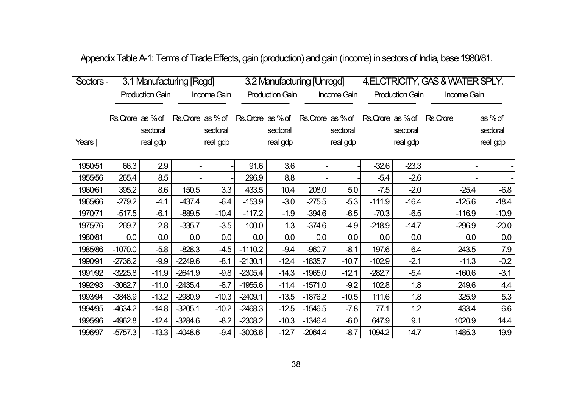| Appendix Table A-1: Terms of Trade Effects, gain (production) and gain (income) in sectors of India, base 1980/81. |
|--------------------------------------------------------------------------------------------------------------------|
|--------------------------------------------------------------------------------------------------------------------|

| Sectors - | 3.1 Manufacturing [Regd] |                        |           |                                                                                                 |           |                        | 3.2 Manufacturing [Unregd] |                      | 4. ELCTRICITY, GAS & WATER SPLY. |                        |             |                                 |
|-----------|--------------------------|------------------------|-----------|-------------------------------------------------------------------------------------------------|-----------|------------------------|----------------------------|----------------------|----------------------------------|------------------------|-------------|---------------------------------|
|           |                          | <b>Production Gain</b> |           | <b>Income Gain</b>                                                                              |           | <b>Production Gain</b> |                            | <b>Income Gain</b>   |                                  | <b>Production Gain</b> | Income Gain |                                 |
| Years     | Rs. Crore as % of        | sectoral<br>real gdp   |           | Rs. Crore as % of Rs. Crore as % of Rs. Crore as % of Rs. Crore as % of<br>sectoral<br>real gdp |           | sectoral<br>real gdp   |                            | sectoral<br>real gdp |                                  | sectoral<br>real gdp   | Rs.Crore    | as % of<br>sectoral<br>real gdp |
| 1950/51   | 66.3                     | 2.9                    |           |                                                                                                 | 91.6      | 3.6                    |                            |                      | $-32.6$                          | $-23.3$                |             |                                 |
| 1955/56   | 265.4                    | 8.5                    |           |                                                                                                 | 296.9     | 8.8                    |                            |                      | $-5.4$                           | $-2.6$                 |             |                                 |
| 1960/61   | 395.2                    | 8.6                    | 150.5     | 3.3                                                                                             | 433.5     | 10.4                   | 208.0                      | 5.0                  | $-7.5$                           | $-2.0$                 | $-25.4$     | $-6.8$                          |
| 1965/66   | $-279.2$                 | $-4.1$                 | $-437.4$  | $-6.4$                                                                                          | $-153.9$  | $-3.0$                 | $-275.5$                   | $-5.3$               | $-111.9$                         | $-16.4$                | $-125.6$    | $-18.4$                         |
| 1970/71   | $-517.5$                 | $-6.1$                 | $-889.5$  | $-10.4$                                                                                         | $-117.2$  | $-1.9$                 | $-394.6$                   | $-6.5$               | $-70.3$                          | $-6.5$                 | $-116.9$    | $-10.9$                         |
| 1975/76   | 269.7                    | 2.8                    | $-335.7$  | $-3.5$                                                                                          | 100.0     | 1.3                    | $-374.6$                   | $-4.9$               | $-218.9$                         | $-14.7$                | $-296.9$    | $-20.0$                         |
| 1980/81   | 0.0                      | 0.0                    | 0.0       | 0.0                                                                                             | 0.0       | 0.0                    | 0.0                        | 0.0                  | 0.0                              | 0.0                    | 0.0         | 0.0                             |
| 1985/86   | $-1070.0$                | $-5.8$                 | $-828.3$  | $-4.5$                                                                                          | $-1110.2$ | $-9.4$                 | $-960.7$                   | $-8.1$               | 197.6                            | 6.4                    | 243.5       | 7.9                             |
| 1990/91   | $-2736.2$                | $-9.9$                 | $-2249.6$ | $-8.1$                                                                                          | $-2130.1$ | $-12.4$                | $-1835.7$                  | $-10.7$              | $-102.9$                         | $-2.1$                 | $-11.3$     | $-0.2$                          |
| 1991/92   | $-3225.8$                | $-11.9$                | $-2641.9$ | $-9.8$                                                                                          | $-2305.4$ | $-14.3$                | $-1965.0$                  | $-12.1$              | $-282.7$                         | $-5.4$                 | $-160.6$    | $-3.1$                          |
| 1992/93   | $-3062.7$                | $-11.0$                | $-2435.4$ | $-8.7$                                                                                          | $-1955.6$ | $-11.4$                | $-1571.0$                  | $-9.2$               | 102.8                            | 1.8                    | 249.6       | 4.4                             |
| 1993/94   | $-3848.9$                | $-13.2$                | $-2980.9$ | $-10.3$                                                                                         | $-2409.1$ | $-13.5$                | $-1876.2$                  | $-10.5$              | 111.6                            | 1.8                    | 325.9       | 5.3                             |
| 1994/95   | -4634.2                  | $-14.8$                | $-3205.1$ | $-10.2$                                                                                         | $-2468.3$ | $-12.5$                | $-1546.5$                  | $-7.8$               | 77.1                             | 1.2                    | 433.4       | 6.6                             |
| 1995/96   | -4962.8                  | $-12.4$                | $-3284.6$ | $-8.2$                                                                                          | $-2308.2$ | $-10.3$                | $-1346.4$                  | $-6.0$               | 647.9                            | 9.1                    | 1020.9      | 14.4                            |
| 1996/97   | $-5757.3$                | $-13.3$                | -4048.6   | $-9.4$                                                                                          | $-3006.6$ | $-12.7$                | $-2064.4$                  | $-8.7$               | 1094.2                           | 14.7                   | 1485.3      | 19.9                            |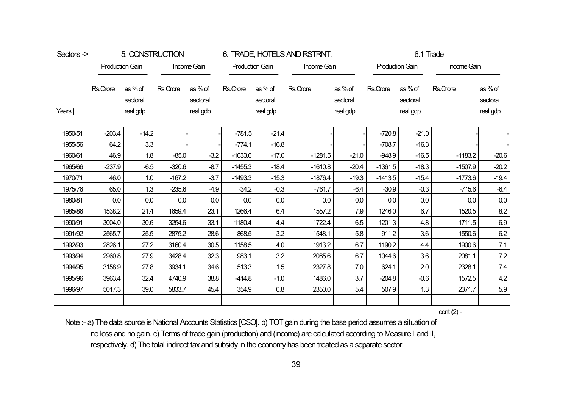| Sectors -> | 5. CONSTRUCTION<br><b>Production Gain</b><br>Income Gain |                               |          |                               |           | 6. TRADE, HOTELS AND RSTRNT.  |             | 6.1 Trade                       |           |                               |             |                                 |
|------------|----------------------------------------------------------|-------------------------------|----------|-------------------------------|-----------|-------------------------------|-------------|---------------------------------|-----------|-------------------------------|-------------|---------------------------------|
|            |                                                          |                               |          |                               |           | <b>Production Gain</b>        | Income Gain |                                 |           | <b>Production Gain</b>        | Income Gain |                                 |
| Years      | Rs.Crore                                                 | as%of<br>sectoral<br>real gdp | Rs.Crore | as%of<br>sectoral<br>real gdp | Rs.Crore  | as%of<br>sectoral<br>real gdp | Rs.Crore    | as % of<br>sectoral<br>real gdp | Rs.Crore  | as%of<br>sectoral<br>real gdp | Rs.Crore    | as % of<br>sectoral<br>real gdp |
| 1950/51    | $-203.4$                                                 | $-14.2$                       |          |                               | $-781.5$  | $-21.4$                       |             |                                 | $-720.8$  | $-21.0$                       |             |                                 |
| 1955/56    | 64.2                                                     | 3.3                           |          |                               | $-774.1$  | $-16.8$                       |             |                                 | $-708.7$  | $-16.3$                       |             |                                 |
| 1960/61    | 46.9                                                     | 1.8                           | $-85.0$  | $-3.2$                        | $-1033.6$ | $-17.0$                       | $-1281.5$   | $-21.0$                         | $-948.9$  | $-16.5$                       | $-1183.2$   | $-20.6$                         |
| 1965/66    | $-237.9$                                                 | $-6.5$                        | $-320.6$ | $-8.7$                        | $-1455.3$ | $-18.4$                       | $-1610.8$   | $-20.4$                         | $-1361.5$ | $-18.3$                       | $-1507.9$   | $-20.2$                         |
| 1970/71    | 46.0                                                     | 1.0                           | $-167.2$ | $-3.7$                        | $-1493.3$ | $-15.3$                       | $-1876.4$   | $-19.3$                         | $-1413.5$ | $-15.4$                       | $-1773.6$   | $-19.4$                         |
| 1975/76    | 65.0                                                     | 1.3                           | $-235.6$ | $-4.9$                        | $-34.2$   | $-0.3$                        | $-761.7$    | $-6.4$                          | $-30.9$   | $-0.3$                        | $-715.6$    | $-6.4$                          |
| 1980/81    | $0.0\,$                                                  | $0.0\,$                       | 0.0      | 0.0                           | $0.0\,$   | $0.0\,$                       | 0.0         | 0.0                             | 0.0       | $0.0\,$                       | 0.0         | $0.0\,$                         |
| 1985/86    | 1538.2                                                   | 21.4                          | 1659.4   | 23.1                          | 1266.4    | 6.4                           | 1557.2      | 7.9                             | 1246.0    | 6.7                           | 1520.5      | 8.2                             |
| 1990/91    | 3004.0                                                   | 30.6                          | 3254.6   | 33.1                          | 1180.4    | 4.4                           | 1722.4      | 6.5                             | 1201.3    | 4.8                           | 1711.5      | 6.9                             |
| 1991/92    | 2565.7                                                   | 25.5                          | 2875.2   | 28.6                          | 868.5     | 3.2                           | 1548.1      | 5.8                             | 911.2     | 3.6                           | 1550.6      | 6.2                             |
| 1992/93    | 2826.1                                                   | 27.2                          | 3160.4   | 30.5                          | 1158.5    | 4.0                           | 1913.2      | 6.7                             | 1190.2    | 4.4                           | 1900.6      | 7.1                             |
| 1993/94    | 2960.8                                                   | 27.9                          | 3428.4   | 32.3                          | 983.1     | 3.2                           | 2085.6      | 6.7                             | 1044.6    | 3.6                           | 2081.1      | 7.2                             |
| 1994/95    | 3158.9                                                   | 27.8                          | 3934.1   | 34.6                          | 513.3     | 1.5                           | 2327.8      | 7.0                             | 624.1     | 2.0                           | 2328.1      | 7.4                             |
| 1995/96    | 3963.4                                                   | 32.4                          | 4740.9   | 38.8                          | $-414.8$  | $-1.0$                        | 1486.0      | 3.7                             | $-204.8$  | $-0.6$                        | 1572.5      | 4.2                             |
| 1996/97    | 5017.3                                                   | 39.0                          | 5833.7   | 45.4                          | 354.9     | 0.8                           | 2350.0      | 5.4                             | 507.9     | 1.3                           | 2371.7      | 5.9                             |
|            |                                                          |                               |          |                               |           |                               |             |                                 |           |                               |             |                                 |

cont (2) -

Note :- a) The data source is National Accounts Statistics [CSO]. b) TOT gain during the base period assumes a situation of no loss and no gain. c) Terms of trade gain (production) and (income) are calculated according to Measure I and II, respectively. d) The total indirect tax and subsidy in the economy has been treated as a separate sector.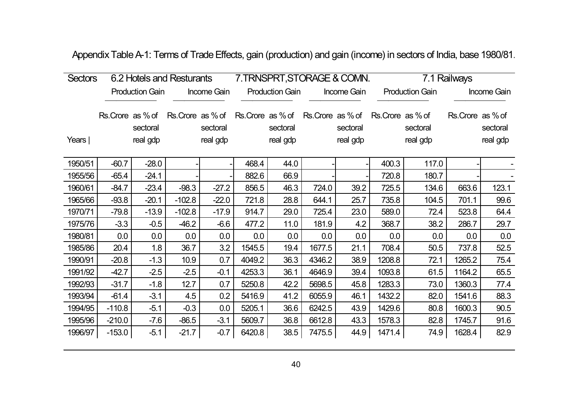| <b>Sectors</b> |                  | 6.2 Hotels and Resturants |                  |                      |                  | 7. TRNSPRT, STORAGE & COMN. |        |                                          |                  |                        | 7.1 Railways     |                      |
|----------------|------------------|---------------------------|------------------|----------------------|------------------|-----------------------------|--------|------------------------------------------|------------------|------------------------|------------------|----------------------|
|                |                  | <b>Production Gain</b>    |                  | Income Gain          |                  | <b>Production Gain</b>      |        | Income Gain                              |                  | <b>Production Gain</b> |                  | Income Gain          |
| Years          | Rs.Crore as % of | sectoral<br>real gdp      | Rs.Crore as % of | sectoral<br>real gdp | Rs.Crore as % of | sectoral<br>real gdp        |        | Rs.Crore as % of<br>sectoral<br>real gdp | Rs.Crore as % of | sectoral<br>real gdp   | Rs.Crore as % of | sectoral<br>real gdp |
| 1950/51        | $-60.7$          | $-28.0$                   |                  |                      | 468.4            | 44.0                        |        |                                          | 400.3            | 117.0                  |                  |                      |
| 1955/56        | $-65.4$          | $-24.1$                   |                  |                      | 882.6            | 66.9                        |        |                                          | 720.8            | 180.7                  |                  |                      |
| 1960/61        | $-84.7$          | $-23.4$                   | $-98.3$          | $-27.2$              | 856.5            | 46.3                        | 724.0  | 39.2                                     | 725.5            | 134.6                  | 663.6            | 123.1                |
| 1965/66        | $-93.8$          | $-20.1$                   | $-102.8$         | $-22.0$              | 721.8            | 28.8                        | 644.1  | 25.7                                     | 735.8            | 104.5                  | 701.1            | 99.6                 |
| 1970/71        | $-79.8$          | $-13.9$                   | $-102.8$         | $-17.9$              | 914.7            | 29.0                        | 725.4  | 23.0                                     | 589.0            | 72.4                   | 523.8            | 64.4                 |
| 1975/76        | $-3.3$           | $-0.5$                    | $-46.2$          | $-6.6$               | 477.2            | 11.0                        | 181.9  | 4.2                                      | 368.7            | 38.2                   | 286.7            | 29.7                 |
| 1980/81        | 0.0              | 0.0                       | 0.0              | 0.0                  | 0.0              | 0.0                         | 0.0    | 0.0                                      | 0.0              | 0.0                    | 0.0              | 0.0                  |
| 1985/86        | 20.4             | 1.8                       | 36.7             | 3.2                  | 1545.5           | 19.4                        | 1677.5 | 21.1                                     | 708.4            | 50.5                   | 737.8            | 52.5                 |
| 1990/91        | $-20.8$          | $-1.3$                    | 10.9             | 0.7                  | 4049.2           | 36.3                        | 4346.2 | 38.9                                     | 1208.8           | 72.1                   | 1265.2           | 75.4                 |
| 1991/92        | $-42.7$          | $-2.5$                    | $-2.5$           | $-0.1$               | 4253.3           | 36.1                        | 4646.9 | 39.4                                     | 1093.8           | 61.5                   | 1164.2           | 65.5                 |
| 1992/93        | $-31.7$          | $-1.8$                    | 12.7             | 0.7                  | 5250.8           | 42.2                        | 5698.5 | 45.8                                     | 1283.3           | 73.0                   | 1360.3           | 77.4                 |
| 1993/94        | $-61.4$          | $-3.1$                    | 4.5              | 0.2                  | 5416.9           | 41.2                        | 6055.9 | 46.1                                     | 1432.2           | 82.0                   | 1541.6           | 88.3                 |
| 1994/95        | $-110.8$         | $-5.1$                    | $-0.3$           | 0.0                  | 5205.1           | 36.6                        | 6242.5 | 43.9                                     | 1429.6           | 80.8                   | 1600.3           | 90.5                 |
| 1995/96        | $-210.0$         | $-7.6$                    | $-86.5$          | $-3.1$               | 5609.7           | 36.8                        | 6612.8 | 43.3                                     | 1578.3           | 82.8                   | 1745.7           | 91.6                 |
| 1996/97        | $-153.0$         | $-5.1$                    | $-21.7$          | $-0.7$               | 6420.8           | 38.5                        | 7475.5 | 44.9                                     | 1471.4           | 74.9                   | 1628.4           | 82.9                 |

Appendix Table A-1: Terms of Trade Effects, gain (production) and gain (income) in sectors of India, base 1980/81.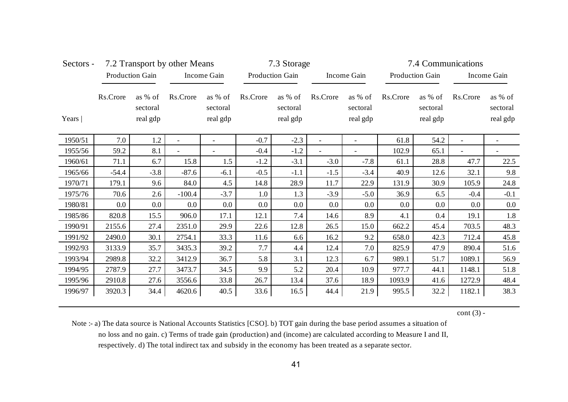| Sectors - |          |                                 | 7.2 Transport by other Means |                                 | 7.3 Storage |                                 |          |                                 | 7.4 Communications |                                 |          |                                 |
|-----------|----------|---------------------------------|------------------------------|---------------------------------|-------------|---------------------------------|----------|---------------------------------|--------------------|---------------------------------|----------|---------------------------------|
|           |          | Production Gain                 |                              | Income Gain                     |             | Production Gain                 |          | Income Gain                     |                    | Production Gain                 |          | Income Gain                     |
| Years     | Rs.Crore | as % of<br>sectoral<br>real gdp | Rs.Crore                     | as % of<br>sectoral<br>real gdp | Rs.Crore    | as % of<br>sectoral<br>real gdp | Rs.Crore | as % of<br>sectoral<br>real gdp | Rs.Crore           | as % of<br>sectoral<br>real gdp | Rs.Crore | as % of<br>sectoral<br>real gdp |
| 1950/51   | 7.0      | 1.2                             |                              |                                 | $-0.7$      | $-2.3$                          |          |                                 | 61.8               | 54.2                            |          |                                 |
| 1955/56   | 59.2     | 8.1                             |                              |                                 | $-0.4$      | $-1.2$                          |          | $\overline{\phantom{a}}$        | 102.9              | 65.1                            |          |                                 |
| 1960/61   | 71.1     | 6.7                             | 15.8                         | 1.5                             | $-1.2$      | $-3.1$                          | $-3.0$   | $-7.8$                          | 61.1               | 28.8                            | 47.7     | 22.5                            |
| 1965/66   | $-54.4$  | $-3.8$                          | $-87.6$                      | $-6.1$                          | $-0.5$      | $-1.1$                          | $-1.5$   | $-3.4$                          | 40.9               | 12.6                            | 32.1     | 9.8                             |
| 1970/71   | 179.1    | 9.6                             | 84.0                         | 4.5                             | 14.8        | 28.9                            | 11.7     | 22.9                            | 131.9              | 30.9                            | 105.9    | 24.8                            |
| 1975/76   | 70.6     | 2.6                             | $-100.4$                     | $-3.7$                          | 1.0         | 1.3                             | $-3.9$   | $-5.0$                          | 36.9               | 6.5                             | $-0.4$   | $-0.1$                          |
| 1980/81   | $0.0\,$  | 0.0                             | 0.0                          | 0.0                             | 0.0         | $0.0\,$                         | $0.0\,$  | 0.0                             | 0.0                | 0.0                             | 0.0      | 0.0                             |
| 1985/86   | 820.8    | 15.5                            | 906.0                        | 17.1                            | 12.1        | 7.4                             | 14.6     | 8.9                             | 4.1                | 0.4                             | 19.1     | 1.8                             |
| 1990/91   | 2155.6   | 27.4                            | 2351.0                       | 29.9                            | 22.6        | 12.8                            | 26.5     | 15.0                            | 662.2              | 45.4                            | 703.5    | 48.3                            |
| 1991/92   | 2490.0   | 30.1                            | 2754.1                       | 33.3                            | 11.6        | 6.6                             | 16.2     | 9.2                             | 658.0              | 42.3                            | 712.4    | 45.8                            |
| 1992/93   | 3133.9   | 35.7                            | 3435.3                       | 39.2                            | 7.7         | 4.4                             | 12.4     | 7.0                             | 825.9              | 47.9                            | 890.4    | 51.6                            |
| 1993/94   | 2989.8   | 32.2                            | 3412.9                       | 36.7                            | 5.8         | 3.1                             | 12.3     | 6.7                             | 989.1              | 51.7                            | 1089.1   | 56.9                            |
| 1994/95   | 2787.9   | 27.7                            | 3473.7                       | 34.5                            | 9.9         | 5.2                             | 20.4     | 10.9                            | 977.7              | 44.1                            | 1148.1   | 51.8                            |
| 1995/96   | 2910.8   | 27.6                            | 3556.6                       | 33.8                            | 26.7        | 13.4                            | 37.6     | 18.9                            | 1093.9             | 41.6                            | 1272.9   | 48.4                            |
| 1996/97   | 3920.3   | 34.4                            | 4620.6                       | 40.5                            | 33.6        | 16.5                            | 44.4     | 21.9                            | 995.5              | 32.2                            | 1182.1   | 38.3                            |

 $cont (3) -$ 

Note :- a) The data source is National Accounts Statistics [CSO]. b) TOT gain during the base period assumes a situation of no loss and no gain. c) Terms of trade gain (production) and (income) are calculated according to Measure I and II, respectively. d) The total indirect tax and subsidy in the economy has been treated as a separate sector.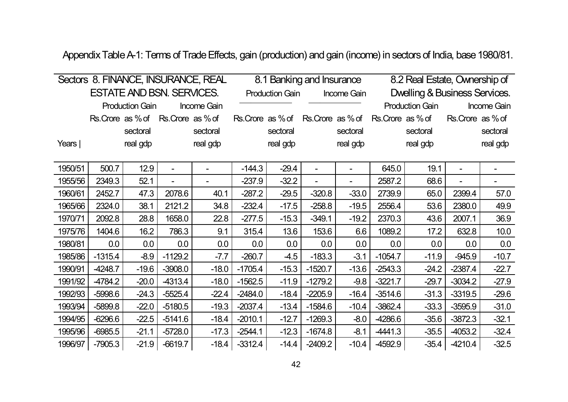Appendix Table A-1: Terms of Trade Effects, gain (production) and gain (income) in sectors of India, base 1980/81.

|         |           |                        |                                     | Sectors 8. FINANCE, INSURANCE, REAL |                  |                        | 8.1 Banking and Insurance |             |                   | 8.2 Real Estate, Ownership of |                  |             |
|---------|-----------|------------------------|-------------------------------------|-------------------------------------|------------------|------------------------|---------------------------|-------------|-------------------|-------------------------------|------------------|-------------|
|         |           |                        | <b>ESTATE AND BSN. SERVICES.</b>    |                                     |                  | <b>Production Gain</b> |                           | Income Gain |                   | Dwelling & Business Services. |                  |             |
|         |           | <b>Production Gain</b> |                                     | Income Gain                         |                  |                        |                           |             |                   | <b>Production Gain</b>        |                  | Income Gain |
|         |           |                        | Rs. Crore as % of Rs. Crore as % of |                                     | Rs.Crore as % of |                        | Rs. Crore as % of         |             | Rs. Crore as % of |                               | Rs.Crore as % of |             |
|         |           | sectoral               |                                     | sectoral                            |                  | sectoral               |                           | sectoral    |                   | sectoral                      |                  | sectoral    |
| Years   |           | real gdp               |                                     | real gdp                            |                  | real gdp               |                           | real gdp    |                   | real gdp                      |                  | real gdp    |
|         |           |                        |                                     |                                     |                  |                        |                           |             |                   |                               |                  |             |
| 1950/51 | 500.7     | 12.9                   |                                     |                                     | $-144.3$         | $-29.4$                |                           |             | 645.0             | 19.1                          |                  |             |
| 1955/56 | 2349.3    | 52.1                   |                                     |                                     | $-237.9$         | $-32.2$                |                           |             | 2587.2            | 68.6                          |                  |             |
| 1960/61 | 2452.7    | 47.3                   | 2078.6                              | 40.1                                | $-287.2$         | $-29.5$                | $-320.8$                  | $-33.0$     | 2739.9            | 65.0                          | 2399.4           | 57.0        |
| 1965/66 | 2324.0    | 38.1                   | 2121.2                              | 34.8                                | $-232.4$         | $-17.5$                | $-258.8$                  | $-19.5$     | 2556.4            | 53.6                          | 2380.0           | 49.9        |
| 1970/71 | 2092.8    | 28.8                   | 1658.0                              | 22.8                                | $-277.5$         | $-15.3$                | $-349.1$                  | $-19.2$     | 2370.3            | 43.6                          | 2007.1           | 36.9        |
| 1975/76 | 1404.6    | 16.2                   | 786.3                               | 9.1                                 | 315.4            | 13.6                   | 153.6                     | 6.6         | 1089.2            | 17.2                          | 632.8            | 10.0        |
| 1980/81 | 0.0       | 0.0                    | 0.0                                 | 0.0                                 | 0.0              | 0.0                    | 0.0                       | 0.0         | 0.0               | 0.0                           | 0.0              | 0.0         |
| 1985/86 | $-1315.4$ | $-8.9$                 | $-1129.2$                           | $-7.7$                              | $-260.7$         | $-4.5$                 | $-183.3$                  | $-3.1$      | $-1054.7$         | $-11.9$                       | $-945.9$         | $-10.7$     |
| 1990/91 | -4248.7   | $-19.6$                | $-3908.0$                           | $-18.0$                             | $-1705.4$        | $-15.3$                | $-1520.7$                 | $-13.6$     | $-2543.3$         | $-24.2$                       | $-2387.4$        | $-22.7$     |
| 1991/92 | -4784.2   | $-20.0$                | -4313.4                             | $-18.0$                             | $-1562.5$        | $-11.9$                | $-1279.2$                 | $-9.8$      | $-3221.7$         | $-29.7$                       | $-3034.2$        | $-27.9$     |
| 1992/93 | $-5998.6$ | $-24.3$                | $-5525.4$                           | $-22.4$                             | $-2484.0$        | $-18.4$                | $-2205.9$                 | $-16.4$     | $-3514.6$         | $-31.3$                       | $-3319.5$        | $-29.6$     |
| 1993/94 | $-5899.8$ | $-22.0$                | $-5180.5$                           | $-19.3$                             | $-2037.4$        | $-13.4$                | $-1584.6$                 | $-10.4$     | $-3862.4$         | $-33.3$                       | $-3595.9$        | $-31.0$     |
| 1994/95 | $-6296.6$ | $-22.5$                | $-5141.6$                           | $-18.4$                             | $-2010.1$        | $-12.7$                | $-1269.3$                 | $-8.0$      | -4286.6           | $-35.6$                       | $-3872.3$        | $-32.1$     |
| 1995/96 | $-6985.5$ | $-21.1$                | $-5728.0$                           | $-17.3$                             | $-2544.1$        | $-12.3$                | $-1674.8$                 | $-8.1$      | $-4441.3$         | $-35.5$                       | $-4053.2$        | $-32.4$     |
| 1996/97 | $-7905.3$ | $-21.9$                | $-6619.7$                           | $-18.4$                             | $-3312.4$        | $-14.4$                | $-2409.2$                 | $-10.4$     | -4592.9           | $-35.4$                       | -4210.4          | $-32.5$     |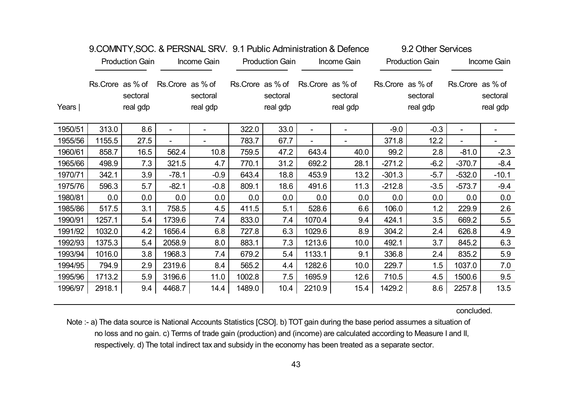|         |                  |                        |                          |                          |        |                                          |                  | <b>S.OOIVIEVE LESS LET VOLVED LET VE SET LE QUITO MUITIERS LIGHT OF DETAIL AND LET VE LET VE LET VE LET LET LET U</b> |                  | <b>ULL ULLUI UU VIUUJ</b> |                          |                      |
|---------|------------------|------------------------|--------------------------|--------------------------|--------|------------------------------------------|------------------|-----------------------------------------------------------------------------------------------------------------------|------------------|---------------------------|--------------------------|----------------------|
|         |                  | <b>Production Gain</b> |                          | Income Gain              |        | <b>Production Gain</b>                   |                  | Income Gain                                                                                                           |                  | <b>Production Gain</b>    |                          | Income Gain          |
| Years   | Rs.Crore as % of | sectoral<br>real gdp   | Rs.Crore as % of         | sectoral<br>real gdp     |        | Rs.Crore as % of<br>sectoral<br>real gdp | Rs.Crore as % of | sectoral<br>real gdp                                                                                                  | Rs.Crore as % of | sectoral<br>real gdp      | Rs.Crore as % of         | sectoral<br>real gdp |
| 1950/51 | 313.0            | 8.6                    | $\overline{\phantom{a}}$ | $\overline{\phantom{a}}$ | 322.0  | 33.0                                     |                  |                                                                                                                       | $-9.0$           | $-0.3$                    | $\overline{\phantom{a}}$ |                      |
| 1955/56 | 1155.5           | 27.5                   |                          |                          | 783.7  | 67.7                                     |                  |                                                                                                                       | 371.8            | 12.2                      |                          |                      |
| 1960/61 | 858.7            | 16.5                   | 562.4                    | 10.8                     | 759.5  | 47.2                                     | 643.4            | 40.0                                                                                                                  | 99.2             | 2.8                       | $-81.0$                  | $-2.3$               |
| 1965/66 | 498.9            | 7.3                    | 321.5                    | 4.7                      | 770.1  | 31.2                                     | 692.2            | 28.1                                                                                                                  | $-271.2$         | $-6.2$                    | $-370.7$                 | $-8.4$               |
| 1970/71 | 342.1            | 3.9                    | $-78.1$                  | $-0.9$                   | 643.4  | 18.8                                     | 453.9            | 13.2                                                                                                                  | $-301.3$         | $-5.7$                    | $-532.0$                 | $-10.1$              |
| 1975/76 | 596.3            | 5.7                    | $-82.1$                  | $-0.8$                   | 809.1  | 18.6                                     | 491.6            | 11.3                                                                                                                  | $-212.8$         | $-3.5$                    | $-573.7$                 | $-9.4$               |
| 1980/81 | 0.0              | 0.0                    | 0.0                      | 0.0                      | 0.0    | 0.0                                      | 0.0              | 0.0                                                                                                                   | 0.0              | 0.0                       | 0.0                      | 0.0                  |
| 1985/86 | 517.5            | 3.1                    | 758.5                    | 4.5                      | 411.5  | 5.1                                      | 528.6            | 6.6                                                                                                                   | 106.0            | 1.2                       | 229.9                    | 2.6                  |
| 1990/91 | 1257.1           | 5.4                    | 1739.6                   | 7.4                      | 833.0  | 7.4                                      | 1070.4           | 9.4                                                                                                                   | 424.1            | 3.5                       | 669.2                    | 5.5                  |
| 1991/92 | 1032.0           | 4.2                    | 1656.4                   | 6.8                      | 727.8  | 6.3                                      | 1029.6           | 8.9                                                                                                                   | 304.2            | 2.4                       | 626.8                    | 4.9                  |
| 1992/93 | 1375.3           | 5.4                    | 2058.9                   | 8.0                      | 883.1  | 7.3                                      | 1213.6           | 10.0                                                                                                                  | 492.1            | 3.7                       | 845.2                    | 6.3                  |
| 1993/94 | 1016.0           | 3.8                    | 1968.3                   | 7.4                      | 679.2  | 5.4                                      | 1133.1           | 9.1                                                                                                                   | 336.8            | 2.4                       | 835.2                    | 5.9                  |
| 1994/95 | 794.9            | 2.9                    | 2319.6                   | 8.4                      | 565.2  | 4.4                                      | 1282.6           | 10.0                                                                                                                  | 229.7            | 1.5                       | 1037.0                   | 7.0                  |
| 1995/96 | 1713.2           | 5.9                    | 3196.6                   | 11.0                     | 1002.8 | 7.5                                      | 1695.9           | 12.6                                                                                                                  | 710.5            | 4.5                       | 1500.6                   | 9.5                  |
| 1996/97 | 2918.1           | 9.4                    | 4468.7                   | 14.4                     | 1489.0 | 10.4                                     | 2210.9           | 15.4                                                                                                                  | 1429.2           | 8.6                       | 2257.8                   | 13.5                 |

# 9.COMNITY,SOC. & PERSNAL SRV. 9.1 Public Administration & Defence 9.2 Other Services

concluded.

Note :- a) The data source is National Accounts Statistics [CSO]. b) TOT gain during the base period assumes a situation of no loss and no gain. c) Terms of trade gain (production) and (income) are calculated according to Measure I and II, respectively. d) The total indirect tax and subsidy in the economy has been treated as a separate sector.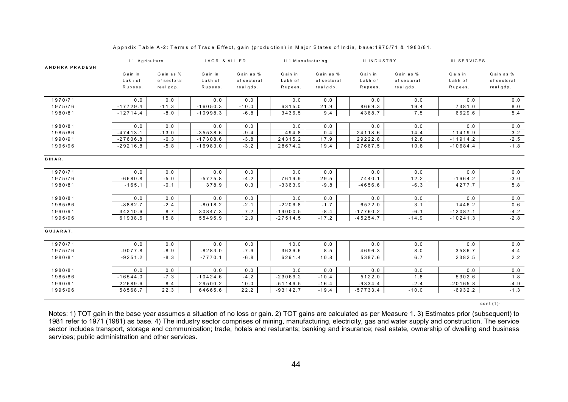|                       | I.1. Agriculture |             | I.AGR. & ALLIED. |             | II.1 Manufacturing |             | II. INDUSTRY |             | III. SERVICES |             |
|-----------------------|------------------|-------------|------------------|-------------|--------------------|-------------|--------------|-------------|---------------|-------------|
| <b>ANDHRA PRADESH</b> |                  |             |                  |             |                    |             |              |             |               |             |
|                       | G a in in        | Gain as %   | Gain in          | Gain as %   | Gain in            | Gain as %   | G ain in     | Gain as %   | G a in in     | Gain as %   |
|                       | Lakh of          | of sectoral | Lakh of          | of sectoral | Lakh of            | of sectoral | Lakh of      | of sectoral | Lakh of       | of sectoral |
|                       | Rupees.          | realgdp.    | Rupees.          | realgdp.    | Rupees.            | realgdp.    | Rupees.      | realgdp.    | Rupees.       | real gdp.   |
| 1970/71               | 0.0              | 0.0         | 0.0              | 0.0         | 0.0                | 0.0         | 0.0          | 0.0         | 0.0           | 0.0         |
| 1975/76               | $-17729.4$       | $-11.3$     | $-16050.3$       | $-10.0$     | 6315.0             | 21.9        | 8669.3       | 19.4        | 7381.0        | 8.0         |
| 1980/81               | $-12714.4$       | $-8.0$      | $-10998.3$       | $-6.8$      | 3436.5             | 9.4         | 4368.7       | 7.5         | 6629.6        | 5.4         |
| 1980/81               | 0.0              | 0.0         | 0.0              | 0.0         | 0.0                | 0.0         | 0.0          | 0.0         | 0.0           | 0.0         |
| 1985/86               | $-47413.1$       | $-13.0$     | $-35538.6$       | $-9.4$      | 494.8              | 0.4         | 24118.6      | 14.4        | 11419.9       | 3.2         |
| 1990/91               | $-27606.8$       | $-6.3$      | $-17308.6$       | $-3.8$      | 24315.2            | 17.9        | 29222.8      | 12.8        | $-11914.2$    | $-2.5$      |
| 1995/96               | $-29216.8$       | $-5.8$      | $-16983.0$       | $-3.2$      | 28674.2            | 19.4        | 27667.5      | 10.8        | $-10684.4$    | $-1.8$      |
| BIHAR.                |                  |             |                  |             |                    |             |              |             |               |             |
| 1970/71               | 0.0              | 0.0         | 0.0              | 0.0         | 0.0                | 0.0         | 0.0          | 0.0         | 0.0           | 0.0         |
| 1975/76               | $-6680.8$        | $-5.0$      | $-5775.8$        | $-4.2$      | 7619.9             | 29.5        | 7440.1       | 12.2        | $-1664.2$     | $-3.0$      |
| 1980/81               | $-165.1$         | $-0.1$      | 378.9            | 0.3         | $-3363.9$          | $-9.8$      | $-4656.6$    | $-6.3$      | 4277.7        | $5.8$       |
| 1980/81               | 0.0              | 0.0         | 0.0              | 0.0         | 0.0                | 0.0         | 0.0          | 0.0         | 0.0           | 0.0         |
| 1985/86               | $-8882.7$        | $-2.4$      | $-8018.2$        | $-2.1$      | $-2206.8$          | $-1.7$      | 6572.0       | 3.1         | 1446.2        | 0.6         |
| 1990/91               | 34310.6          | 8.7         | 30847.3          | 7.2         | $-14000.5$         | $-8.4$      | $-17760.2$   | $-6.1$      | $-13087.1$    | $-4.2$      |
| 1995/96               | 61938.6          | 15.8        | 55495.9          | 12.9        | $-27514.5$         | $-17.2$     | $-45254.7$   | $-14.9$     | $-10241.3$    | $-2.8$      |
| GUJARAT.              |                  |             |                  |             |                    |             |              |             |               |             |
| 1970/71               | 0.0              | 0.0         | 0.0              | 0.0         | 10.0               | 0.0         | 0.0          | 0.0         | 0.0           | 0.0         |
| 1975/76               | $-9077.8$        | $-8.9$      | $-8283.0$        | $-7.9$      | 3636.6             | 8.5         | 4696.3       | 8.0         | 3586.7        | 4.4         |
| 1980/81               | $-9251.2$        | $-8.3$      | $-7770.1$        | $-6.8$      | 6291.4             | 10.8        | 5387.6       | 6.7         | 2382.5        | 2.2         |
| 1980/81               | 0.0              | 0.0         | 0.0              | 0.0         | 0.0                | 0.0         | 0.0          | 0.0         | 0.0           | 0.0         |
| 1985/86               | $-16544.0$       | $-7.3$      | $-10424.6$       | $-4.2$      | $-23069.2$         | $-10.4$     | 5122.0       | 1.8         | 5302.6        | 1.8         |
| 1990/91               | 22689.6          | 8.4         | 29500.2          | 10.0        | $-51149.5$         | $-16.4$     | $-9334.4$    | $-2.4$      | $-20165.8$    | $-4.9$      |
| 1995/96               | 58568.7          | 22.3        | 64665.6          | 22.2        | $-93142.7$         | $-19.4$     | $-57733.4$   | $-10.0$     | $-6932.2$     | $-1.3$      |
|                       |                  |             |                  |             |                    |             |              |             |               |             |

Appndix Table A-2: Terms of Trade Effect, gain (production) in Major States of India, base:1970/71 & 1980/81.

cont (1)-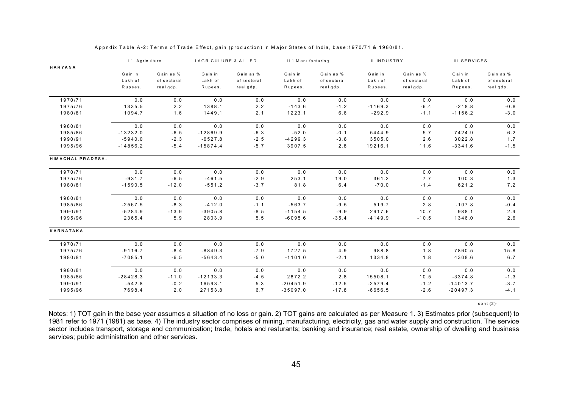|                   | I.1. Agriculture |             | <b>I.AGRICULURE &amp; ALLIED.</b> |             | II.1 Manufacturing |             | II. INDUSTRY |             | III. SERVICES |             |
|-------------------|------------------|-------------|-----------------------------------|-------------|--------------------|-------------|--------------|-------------|---------------|-------------|
| HARYANA           |                  |             |                                   |             |                    |             |              |             |               |             |
|                   | Gain in          | Gain as %   | Gain in                           | Gain as %   | Gain in            | Gain as %   | Gain in      | Gain as %   | Gain in       | Gain as %   |
|                   | Lakh of          | of sectoral | Lakh of                           | of sectoral | Lakh of            | of sectoral | Lakh of      | of sectoral | Lakh of       | of sectoral |
|                   | Rupees.          | real gdp.   | Rupees.                           | realgdp.    | Rupees.            | realgdp.    | Rupees.      | real gdp.   | Rupees.       | realgdp.    |
| 1970/71           | 0.0              | 0.0         | 0.0                               | 0.0         | 0.0                | 0.0         | 0.0          | 0.0         | 0.0           | 0.0         |
| 1975/76           | 1335.5           | 2.2         | 1388.1                            | 2.2         | $-143.6$           | $-1.2$      | $-1169.3$    | $-6.4$      | $-218.8$      | $-0.8$      |
| 1980/81           | 1094.7           | 1.6         | 1449.1                            | 2.1         | 1223.1             | 6.6         | $-292.9$     | $-1.1$      | $-1156.2$     | $-3.0$      |
| 1980/81           | 0.0              | 0.0         | 0.0                               | 0.0         | 0.0                | 0.0         | 0.0          | 0.0         | 0.0           | 0.0         |
| 1985/86           | $-13232.0$       | $-6.5$      | $-12869.9$                        | $-6.3$      | $-52.0$            | $-0.1$      | 5444.9       | 5.7         | 7424.9        | $6.2$       |
| 1990/91           | $-5940.0$        | $-2.3$      | $-6527.8$                         | $-2.5$      | $-4299.3$          | $-3.8$      | 3505.0       | 2.6         | 3022.8        | 1.7         |
| 1995/96           | $-14856.2$       | $-5.4$      | $-15874.4$                        | $-5.7$      | 3907.5             | 2.8         | 19216.1      | 11.6        | $-3341.6$     | $-1.5$      |
| HIMACHAL PRADESH. |                  |             |                                   |             |                    |             |              |             |               |             |
| 1970/71           | 0.0              | 0.0         | 0.0                               | 0.0         | 0.0                | 0.0         | 0.0          | 0.0         | 0.0           | 0.0         |
| 1975/76           | $-931.7$         | $-6.5$      | $-461.5$                          | $-2.9$      | 253.1              | 19.0        | 361.2        | 7.7         | 100.3         | 1.3         |
| 1980/81           | $-1590.5$        | $-12.0$     | $-551.2$                          | $-3.7$      | 81.8               | 6.4         | $-70.0$      | $-1.4$      | 621.2         | 7.2         |
| 1980/81           | 0.0              | 0.0         | 0.0                               | 0.0         | 0.0                | 0.0         | $0.0$        | 0.0         | 0.0           | 0.0         |
| 1985/86           | $-2567.5$        | $-8.3$      | $-412.0$                          | $-1.1$      | $-563.7$           | $-9.5$      | 519.7        | 2.8         | $-107.8$      | $-0.4$      |
| 1990/91           | $-5284.9$        | $-13.9$     | $-3905.8$                         | $-8.5$      | $-1154.5$          | $-9.9$      | 2917.6       | 10.7        | 988.1         | 2.4         |
| 1995/96           | 2365.4           | 5.9         | 2803.9                            | $5.5$       | $-6095.6$          | $-35.4$     | $-4149.9$    | $-10.5$     | 1346.0        | 2.6         |
| KARNATAKA         |                  |             |                                   |             |                    |             |              |             |               |             |
| 1970/71           | $0.0$            | $0.0$       | 0.0                               | 0.0         | $0.0$              | 0.0         | $0.0$        | 0.0         | $0.0$         | $0.0$       |
| 1975/76           | $-9116.7$        | $-8.4$      | $-8849.3$                         | $-7.9$      | 1727.5             | 4.9         | 988.8        | 1.8         | 7860.5        | 15.8        |
| 1980/81           | $-7085.1$        | $-6.5$      | $-5643.4$                         | $-5.0$      | $-1101.0$          | $-2.1$      | 1334.8       | 1.8         | 4308.6        | $6.7\,$     |
| 1980/81           | 0.0              | $0.0$       | 0.0                               | 0.0         | 0.0                | 0.0         | 0.0          | 0.0         | 0.0           | $0.0$       |
| 1985/86           | $-28428.3$       | $-11.0$     | $-12133.3$                        | $-4.5$      | 2872.2             | 2.8         | 15508.1      | 10.5        | $-3374.8$     | $-1.3$      |
| 1990/91           | $-542.8$         | $-0.2$      | 16593.1                           | 5.3         | $-20451.9$         | $-12.5$     | $-2579.4$    | $-1.2$      | $-14013.7$    | $-3.7$      |
| 1995/96           | 7698.4           | 2.0         | 27153.8                           | 6.7         | $-35097.0$         | $-17.8$     | $-6656.5$    | $-2.6$      | $-20497.3$    | $-4.1$      |
|                   |                  |             |                                   |             |                    |             |              |             |               |             |

cont (2)-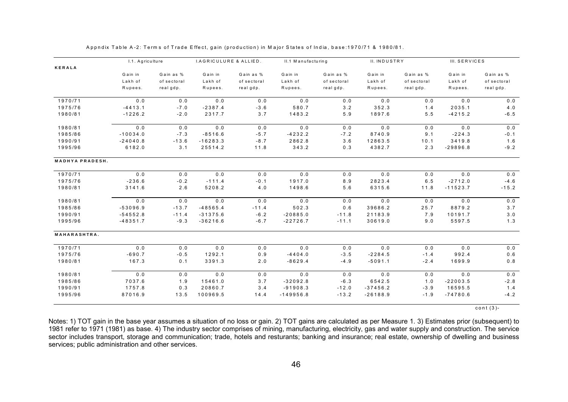| KERALA                 | Gain in    |             |            |             |             |             |            |             |            |             |
|------------------------|------------|-------------|------------|-------------|-------------|-------------|------------|-------------|------------|-------------|
|                        |            |             |            |             |             |             |            |             |            |             |
|                        |            | Gain as %   | Gain in    | Gain as %   | Gain in     | Gain as %   | Gain in    | Gain as %   | Gain in    | Gain as %   |
|                        | Lakh of    | of sectoral | Lakh of    | of sectoral | Lakh of     | of sectoral | Lakh of    | of sectoral | Lakh of    | of sectoral |
|                        | Rupees.    | real gdp.   | Rupees.    | real gdp.   | Rupees.     | real gdp.   | Rupees.    | real gdp.   | Rupees.    | real gdp.   |
| 1970/71                | 0.0        | 0.0         | 0.0        | 0.0         | 0.0         | 0.0         | 0.0        | 0.0         | 0.0        | 0.0         |
| 1975/76                | $-4413.1$  | $-7.0$      | $-2387.4$  | $-3.6$      | 580.7       | 3.2         | 352.3      | 1.4         | 2035.1     | 4.0         |
| 1980/81                | $-1226.2$  | $-2.0$      | 2317.7     | 3.7         | 1483.2      | 5.9         | 1897.6     | 5.5         | $-4215.2$  | $-6.5$      |
| 1980/81                | 0.0        | 0.0         | 0.0        | 0.0         | 0.0         | 0.0         | 0.0        | 0.0         | 0.0        | 0.0         |
| 1985/86                | $-10034.0$ | $-7.3$      | $-8516.6$  | $-5.7$      | $-4232.2$   | $-7.2$      | 8740.9     | 9.1         | $-224.3$   | $-0.1$      |
| 1990/91                | $-24040.8$ | $-13.6$     | $-16283.3$ | $-8.7$      | 2862.8      | 3.6         | 12863.5    | 10.1        | 3419.8     | 1.6         |
| 1995/96                | 6182.0     | 3.1         | 25514.2    | 11.8        | 343.2       | 0.3         | 4382.7     | 2.3         | $-29896.8$ | $-9.2$      |
| <b>MADHYA PRADESH.</b> |            |             |            |             |             |             |            |             |            |             |
| 1970/71                | 0.0        | 0.0         | 0.0        | 0.0         | 0.0         | 0.0         | 0.0        | 0.0         | 0.0        | $0.0$       |
| 1975/76                | $-236.6$   | $-0.2$      | $-111.4$   | $-0.1$      | 1917.0      | 8.9         | 2823.4     | 6.5         | $-2712.0$  | $-4.6$      |
| 1980/81                | 3141.6     | 2.6         | 5208.2     | 4.0         | 1498.6      | 5.6         | 6315.6     | 11.8        | $-11523.7$ | $-15.2$     |
| 1980/81                | 0.0        | 0.0         | 0.0        | 0.0         | 0.0         | 0.0         | 0.0        | 0.0         | 0.0        | 0.0         |
| 1985/86                | $-53096.9$ | $-13.7$     | $-48565.4$ | $-11.4$     | 502.3       | 0.6         | 39686.2    | 25.7        | 8879.2     | 3.7         |
| 1990/91                | $-54552.8$ | $-11.4$     | $-31375.6$ | $-6.2$      | $-20885.0$  | $-11.8$     | 21183.9    | 7.9         | 10191.7    | $3.0$       |
| 1995/96                | $-48351.7$ | $-9.3$      | $-36216.6$ | $-6.7$      | $-22726.7$  | $-11.1$     | 30619.0    | 9.0         | 5597.5     | 1.3         |
| MAHARASHTRA.           |            |             |            |             |             |             |            |             |            |             |
| 1970/71                | 0.0        | 0.0         | 0.0        | 0.0         | 0.0         | 0.0         | 0.0        | 0.0         | 0.0        | $0.0$       |
| 1975/76                | $-690.7$   | $-0.5$      | 1292.1     | 0.9         | $-4404.0$   | $-3.5$      | $-2284.5$  | $-1.4$      | 992.4      | $0.6$       |
| 1980/81                | 167.3      | 0.1         | 3391.3     | 2.0         | $-8629.4$   | $-4.9$      | $-5091.1$  | $-2.4$      | 1699.9     | 0.8         |
| 1980/81                | 0.0        | 0.0         | 0.0        | 0.0         | 0.0         | 0.0         | 0.0        | 0.0         | 0.0        | $0.0$       |
| 1985/86                | 7037.6     | 1.9         | 15461.0    | 3.7         | $-32092.8$  | $-6.3$      | 6542.5     | 1.0         | $-22003.5$ | $-2.8$      |
| 1990/91                | 1757.8     | 0.3         | 20860.7    | 3.4         | $-91908.3$  | $-12.0$     | $-37456.2$ | $-3.9$      | 16595.5    | 1.4         |
| 1995/96                | 87016.9    | 13.5        | 100969.5   | 14.4        | $-149956.8$ | $-13.2$     | $-26188.9$ | $-1.9$      | $-74780.6$ | $-4.2$      |

cont (3)-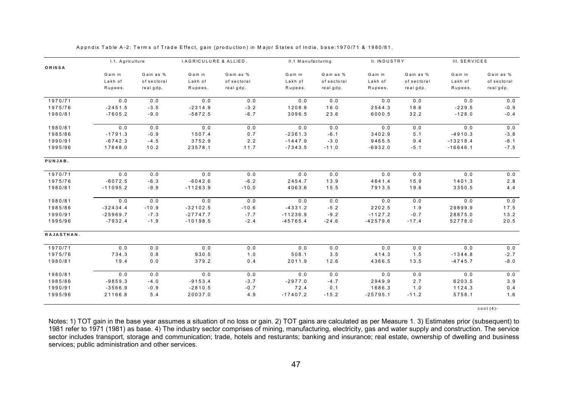|            | I.1. Agriculture |             | <b>I.AGRICULURE &amp; ALLIED.</b> |             | II.1 Manufacturing |             | II. INDUSTRY |             | III. SERVICES |             |
|------------|------------------|-------------|-----------------------------------|-------------|--------------------|-------------|--------------|-------------|---------------|-------------|
| ORISSA     |                  |             |                                   |             |                    |             |              |             |               |             |
|            | Gain in          | Gain as %   | Gain in                           | Gain as %   | Gain in            | Gain as %   | Gain in      | Gain as %   | Gain in       | Gain as %   |
|            | Lakh of          | of sectoral | Lakh of                           | of sectoral | Lakh of            | of sectoral | Lakh of      | of sectoral | Lakh of       | of sectoral |
|            | Rupees.          | real gdp.   | Rupees.                           | real gdp.   | Rupees.            | realgdp.    | Rupees.      | real gdp.   | Rupees.       | realgdp.    |
| 1970/71    | 0.0              | 0.0         | 0.0                               | 0.0         | 0.0                | 0.0         | 0.0          | 0.0         | 0.0           | 0.0         |
| 1975/76    | $-2451.5$        | $-3.5$      | $-2314.9$                         | $-3.2$      | 1208.8             | 16.0        | 2544.3       | 18.6        | $-229.5$      | $-0.9$      |
| 1980/81    | $-7605.2$        | $-9.0$      | $-5872.5$                         | $-6.7$      | 3096.5             | 23.6        | 6000.5       | 32.2        | $-128.0$      | $-0.4$      |
| 1980/81    | 0.0              | 0.0         | 0.0                               | 0.0         | 0.0                | 0.0         | 0.0          | 0.0         | 0.0           | 0.0         |
| 1985/86    | $-1791.3$        | $-0.9$      | 1507.4                            | 0.7         | $-2361.3$          | $-6.1$      | 3402.9       | 5.1         | $-4910.3$     | $-3.8$      |
| 1990/91    | $-6742.3$        | $-4.5$      | 3752.9                            | 2.2         | $-1447.9$          | $-3.0$      | 9465.5       | 9.4         | $-13218.4$    | $-8.1$      |
| 1995/96    | 17848.0          | 10.2        | 23578.1                           | 11.7        | $-7343.5$          | $-11.0$     | $-6932.0$    | $-5.1$      | $-16646.1$    | $-7.5$      |
| PUNJAB.    |                  |             |                                   |             |                    |             |              |             |               |             |
| 1970/71    | 0.0              | 0.0         | 0.0                               | 0.0         | 0.0                | 0.0         | 0.0          | 0.0         | 0.0           | 0.0         |
| 1975/76    | $-6072.5$        | $-6.3$      | $-6042.6$                         | $-6.2$      | 2454.7             | 13.9        | 4641.4       | 15.9        | 1401.3        | $2.8$       |
| 1980/81    | $-11095.2$       | $-9.9$      | $-11263.9$                        | $-10.0$     | 4063.6             | 15.5        | 7913.5       | 19.6        | 3350.5        | 4.4         |
| 1980/81    | 0.0              | $0.0$       | 0.0                               | $0.0$       | 0.0                | 0.0         | 0.0          | 0.0         | 0.0           | $0.0$       |
| 1985/86    | $-32434.4$       | $-10.9$     | $-32102.5$                        | $-10.6$     | $-4331.2$          | $-5.2$      | 2202.5       | 1.9         | 29899.9       | 17.5        |
| 1990/91    | $-25969.7$       | $-7.3$      | $-27747.7$                        | $-7.7$      | $-11236.9$         | $-9.2$      | $-1127.2$    | $-0.7$      | 28875.0       | 13.2        |
| 1995/96    | $-7932.4$        | $-1.9$      | $-10198.5$                        | $-2.4$      | $-45765.4$         | $-24.6$     | $-42579.6$   | $-17.4$     | 52778.0       | 20.5        |
| RAJASTHAN. |                  |             |                                   |             |                    |             |              |             |               |             |
| 1970/71    | 0.0              | 0.0         | 0.0                               | 0.0         | 0.0                | 0.0         | 0.0          | 0.0         | 0.0           | 0.0         |
| 1975/76    | 734.3            | 0.8         | 930.5                             | 1.0         | 508.1              | 3.5         | 414.3        | 1.5         | $-1344.8$     | $-2.7$      |
| 1980/81    | 19.4             | $0.0$       | 379.2                             | 0.4         | 2011.9             | 12.6        | 4366.5       | 13.5        | $-4745.7$     | $-8.0$      |
| 1980/81    | 0.0              | $0.0$       | $0.0$                             | $0.0$       | 0.0                | 0.0         | 0.0          | 0.0         | 0.0           | 0.0         |
| 1985/86    | $-9859.3$        | $-4.0$      | $-9153.4$                         | $-3.7$      | $-2977.0$          | $-4.7$      | 2949.9       | 2.7         | 6203.5        | 3.9         |
| 1990/91    | $-3566.9$        | $-0.9$      | $-2810.5$                         | $-0.7$      | 72.4               | 0.1         | 1686.3       | 1.0         | 1124.3        | 0.4         |
| 1995/96    | 21166.8          | 5.4         | 20037.0                           | 4.9         | $-17407.2$         | $-15.2$     | $-25795.1$   | $-11.2$     | 5758.1        | 1.6         |

cont (4)-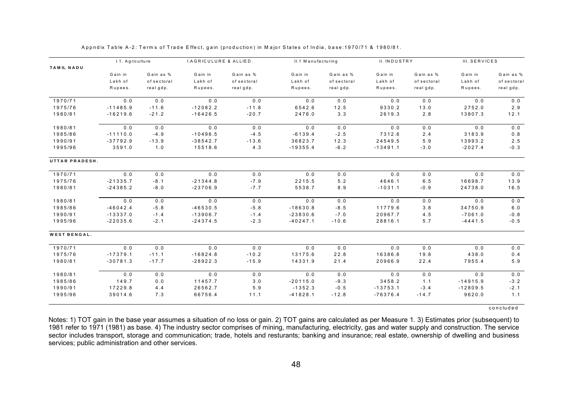|                     | I.1. Agriculture |                          | <b>I.AGRICULURE &amp; ALLIED.</b> |                         | II.1 Manufacturing |                          | II. INDUSTRY       |             | III. SERVICES |                         |
|---------------------|------------------|--------------------------|-----------------------------------|-------------------------|--------------------|--------------------------|--------------------|-------------|---------------|-------------------------|
| <b>TAMIL NADU</b>   |                  |                          |                                   |                         |                    |                          |                    |             |               |                         |
|                     | Gain in          | Gain as %                | Gain in                           | Gain as %               | Gain in            | Gain as %                | Gain in            | Gain as %   | Gain in       | Gain as %               |
|                     | Lakh of          | of sectoral<br>real gdp. | Lakh of<br>Rupees.                | of sectoral<br>realgdp. | Lakh of<br>Rupees. | of sectoral<br>real gdp. | Lakh of<br>Rupees. | of sectoral | Lakh of       | of sectoral<br>realgdp. |
|                     | Rupees.          |                          |                                   |                         |                    |                          |                    | real gdp.   | Rupees.       |                         |
| 1970/71             | 0.0              | 0.0                      | 0.0                               | 0.0                     | 0.0                | 0.0                      | 0.0                | 0.0         | 0.0           | 0.0                     |
| 1975/76             | $-11485.9$       | $-11.6$                  | $-12082.2$                        | $-11.8$                 | 6542.6             | 12.5                     | 9330.2             | 13.0        | 2752.0        | 2.9                     |
| 1980/81             | $-16219.6$       | $-21.2$                  | $-16426.5$                        | $-20.7$                 | 2476.0             | 3.3                      | 2619.3             | 2.8         | 13807.3       | 12.1                    |
| 1980/81             | 0.0              | 0.0                      | 0.0                               | 0.0                     | 0.0                | 0.0                      | 0.0                | 0.0         | 0.0           | 0.0                     |
| 1985/86             | $-11110.0$       | $-4.9$                   | $-10496.5$                        | $-4.5$                  | $-6139.4$          | $-2.5$                   | 7312.6             | 2.4         | 3183.9        | 0.8                     |
| 1990/91             | $-37792.9$       | $-13.9$                  | $-38542.7$                        | $-13.6$                 | 36823.7            | 12.3                     | 24549.5            | $5.9$       | 13993.2       | 2.5                     |
| 1995/96             | 3591.0           | 1.0                      | 15518.6                           | 4.3                     | $-19355.4$         | $-6.2$                   | $-13491.1$         | $-3.0$      | $-2027.4$     | $-0.3$                  |
| UTTAR PRADESH.      |                  |                          |                                   |                         |                    |                          |                    |             |               |                         |
| 1970/71             | 0.0              | 0.0                      | 0.0                               | 0.0                     | 0.0                | 0.0                      | 0.0                | 0.0         | 0.0           | $0.0$                   |
| 1975/76             | $-21335.7$       | $-8.1$                   | $-21344.8$                        | $-7.9$                  | 2215.5             | $5.2$                    | 4646.1             | 6.5         | 16698.7       | 13.9                    |
| 1980/81             | $-24385.2$       | $-8.0$                   | $-23706.9$                        | $-7.7$                  | 5538.7             | 8.9                      | $-1031.1$          | $-0.9$      | 24738.0       | 16.5                    |
| 1980/81             | $0.0$            | 0.0                      | 0.0                               | 0.0                     | 0.0                | 0.0                      | $0.0$              | 0.0         | 0.0           | $0.0$                   |
| 1985/86             | $-46042.4$       | $-5.8$                   | $-46530.5$                        | $-5.8$                  | $-18630.8$         | $-8.5$                   | 11779.6            | 3.8         | 34750.9       | 6.0                     |
| 1990/91             | $-13337.0$       | $-1.4$                   | $-13906.7$                        | $-1.4$                  | $-23830.6$         | $-7.0$                   | 20967.7            | 4.5         | $-7061.0$     | $-0.8$                  |
| 1995/96             | $-22035.6$       | $-2.1$                   | $-24374.5$                        | $-2.3$                  | $-40247.1$         | $-10.6$                  | 28816.1            | 5.7         | $-4441.5$     | $-0.5$                  |
| <b>WEST BENGAL.</b> |                  |                          |                                   |                         |                    |                          |                    |             |               |                         |
| 1970/71             | 0.0              | 0.0                      | 0.0                               | 0.0                     | 0.0                | 0.0                      | 0.0                | 0.0         | 0.0           | 0.0                     |
| 1975/76             | $-17379.1$       | $-11.1$                  | $-16824.8$                        | $-10.2$                 | 13175.6            | 22.8                     | 16386.8            | 19.8        | 438.0         | 0.4                     |
| 1980/81             | $-30781.3$       | $-17.7$                  | $-28922.3$                        | $-15.9$                 | 14331.9            | 21.4                     | 20966.9            | 22.4        | 7955.4        | $5.9$                   |
| 1980/81             | 0.0              | 0.0                      | 0.0                               | 0.0                     | 0.0                | 0.0                      | 0.0                | 0.0         | 0.0           | 0.0                     |
| 1985/86             | 149.7            | 0.0                      | 11457.7                           | 3.0                     | $-20115.0$         | $-9.3$                   | 3458.2             | 1.1         | $-14915.9$    | $-3.2$                  |
| 1990/91             | 17229.8          | 4.4                      | 26562.7                           | 5.9                     | $-1352.3$          | $-0.5$                   | $-13753.1$         | $-3.4$      | $-12809.5$    | $-2.1$                  |
| 1995/96             | 39014.6          | 7.3                      | 66756.4                           | 11.1                    | $-41828.1$         | $-12.8$                  | $-76376.4$         | $-14.7$     | 9620.0        | 1.1                     |

concluded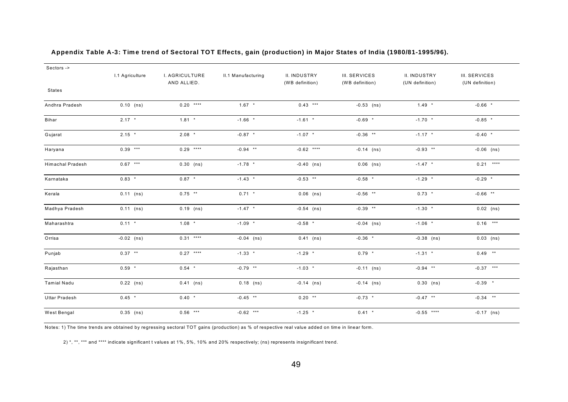| Sectors ->              |                 |                               |                    |                                 |                                  |                                 |                                         |
|-------------------------|-----------------|-------------------------------|--------------------|---------------------------------|----------------------------------|---------------------------------|-----------------------------------------|
|                         | I.1 Agriculture | I. AGRICULTURE<br>AND ALLIED. | II.1 Manufacturing | II. INDUSTRY<br>(WB definition) | III. SERVICES<br>(WB definition) | II. INDUSTRY<br>(UN definition) | <b>III. SERVICES</b><br>(UN definition) |
| <b>States</b>           |                 |                               |                    |                                 |                                  |                                 |                                         |
| Andhra Pradesh          | $0.10$ (ns)     | $0.20$ ****                   | $1.67$ *           | $0.43$ ***                      | $-0.53$ (ns)                     | $1.49$ *                        | $-0.66$ *                               |
| Bihar                   | $2.17$ *        | $1.81$ *                      | $-1.66$ *          | $-1.61$ *                       | $-0.69$ *                        | $-1.70$ *                       | $-0.85$ *                               |
| Gujarat                 | $2.15$ *        | $2.08$ *                      | $-0.87$ *          | $-1.07$ *                       | $-0.36$ **                       | $-1.17$ *                       | $-0.40$ *                               |
| Haryana                 | $0.39***$       | $0.29$ ****                   | $-0.94$ **         | $-0.62$ ****                    | $-0.14$ (ns)                     | $-0.93$ **                      | $-0.06$ (ns)                            |
| <b>Himachal Pradesh</b> | $0.67***$       | $0.30$ (ns)                   | $-1.78$ *          | $-0.40$ (ns)                    | $0.06$ (ns)                      | $-1.47$ *                       | $0.21***$                               |
| Karnataka               | $0.83$ *        | $0.87$ *                      | $-1.43$ *          | $-0.53$ **                      | $-0.58$ *                        | $-1.29$ *                       | $-0.29$ *                               |
| Kerala                  | $0.11$ (ns)     | $0.75$ **                     | $0.71$ *           | $0.06$ (ns)                     | $-0.56$ **                       | $0.73$ *                        | $-0.66$ **                              |
| Madhya Pradesh          | $0.11$ (ns)     | $0.19$ (ns)                   | $-1.47$ *          | $-0.54$ (ns)                    | $-0.39$ **                       | $-1.30$ *                       | $0.02$ (ns)                             |
| Maharashtra             | $0.11$ *        | $1.08$ *                      | $-1.09$ *          | $-0.58$ *                       | $-0.04$ (ns)                     | $-1.06$ *                       | $0.16$ ***                              |
| Orrisa                  | $-0.02$ (ns)    | $0.31$ ****                   | $-0.04$ (ns)       | $0.41$ (ns)                     | $-0.36$ *                        | $-0.38$ (ns)                    | $0.03$ (ns)                             |
| Punjab                  | $0.37$ **       | $0.27***$                     | $-1.33$ *          | $-1.29$ *                       | $0.79$ *                         | $-1.31$ *                       | $0.49***$                               |
| Rajasthan               | $0.59$ *        | $0.54$ *                      | $-0.79$ **         | $-1.03$ *                       | $-0.11$ (ns)                     | $-0.94$ **                      | $-0.37$ ***                             |
| <b>Tamial Nadu</b>      | $0.22$ (ns)     | $0.41$ (ns)                   | $0.18$ (ns)        | $-0.14$ (ns)                    | $-0.14$ (ns)                     | $0.30$ (ns)                     | $-0.39$ *                               |
| Uttar Pradesh           | $0.45$ *        | $0.40$ *                      | $-0.45$ **         | $0.20$ **                       | $-0.73$ *                        | $-0.47$ **                      | $-0.34$ **                              |
| West Bengal             | $0.35$ (ns)     | $0.56$ ***                    | $-0.62$ ***        | $-1.25$ *                       | $0.41$ *                         | $-0.55$ ****                    | $-0.17$ (ns)                            |

#### **Appendix Table A-3: Time trend of Sectoral TOT Effects, gain (production) in Major States of India (1980/81-1995/96).**

Notes: 1) The time trends are obtained by regressing sectoral TOT gains (production) as % of respective real value added on time in linear form.

2) \*, \*\*, \*\*\* and \*\*\*\* indicate significant t values at 1%, 5%, 10% and 20% respectively; (ns) represents insignificant trend.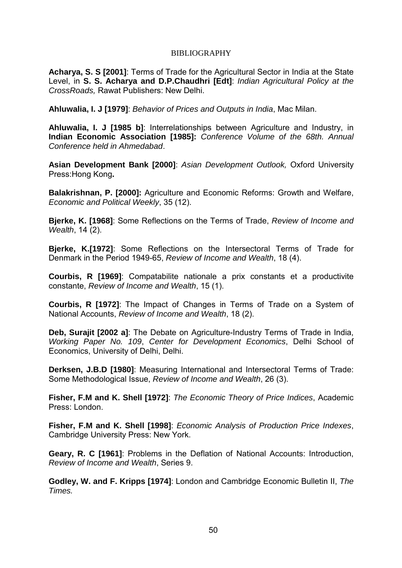### BIBLIOGRAPHY

**Acharya, S. S [2001]**: Terms of Trade for the Agricultural Sector in India at the State Level, in **S. S. Acharya and D.P.Chaudhri [Edt]**: *Indian Agricultural Policy at the CrossRoads,* Rawat Publishers: New Delhi.

**Ahluwalia, I. J [1979]**: *Behavior of Prices and Outputs in India*, Mac Milan.

**Ahluwalia, I. J [1985 b]**: Interrelationships between Agriculture and Industry, in **Indian Economic Association [1985]:** *Conference Volume of the 68th. Annual Conference held in Ahmedabad*.

**Asian Development Bank [2000]**: *Asian Development Outlook,* Oxford University Press:Hong Kong**.**

**Balakrishnan, P. [2000]:** Agriculture and Economic Reforms: Growth and Welfare, *Economic and Political Weekly*, 35 (12).

**Bjerke, K. [1968]**: Some Reflections on the Terms of Trade, *Review of Income and Wealth*, 14 (2).

**Bjerke, K.[1972]**: Some Reflections on the Intersectoral Terms of Trade for Denmark in the Period 1949-65, *Review of Income and Wealth*, 18 (4).

**Courbis, R [1969]**: Compatabilite nationale a prix constants et a productivite constante, *Review of Income and Wealth*, 15 (1).

**Courbis, R [1972]**: The Impact of Changes in Terms of Trade on a System of National Accounts, *Review of Income and Wealth*, 18 (2).

**Deb, Surajit [2002 a]**: The Debate on Agriculture-Industry Terms of Trade in India, *Working Paper No. 109*, *Center for Development Economics*, Delhi School of Economics, University of Delhi, Delhi.

**Derksen, J.B.D [1980]**: Measuring International and Intersectoral Terms of Trade: Some Methodological Issue, *Review of Income and Wealth*, 26 (3).

**Fisher, F.M and K. Shell [1972]**: *The Economic Theory of Price Indices*, Academic Press: London.

**Fisher, F.M and K. Shell [1998]**: *Economic Analysis of Production Price Indexes*, Cambridge University Press: New York.

**Geary, R. C [1961]**: Problems in the Deflation of National Accounts: Introduction, *Review of Income and Wealth*, Series 9.

**Godley, W. and F. Kripps [1974]**: London and Cambridge Economic Bulletin II, *The Times.*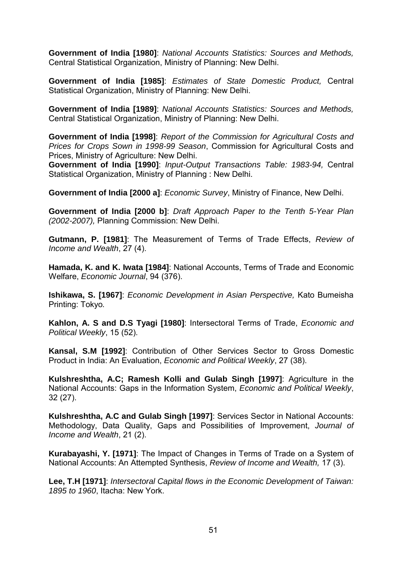**Government of India [1980]**: *National Accounts Statistics: Sources and Methods,* Central Statistical Organization, Ministry of Planning: New Delhi.

**Government of India [1985]**: *Estimates of State Domestic Product,* Central Statistical Organization, Ministry of Planning: New Delhi.

**Government of India [1989]**: *National Accounts Statistics: Sources and Methods,* Central Statistical Organization, Ministry of Planning: New Delhi.

**Government of India [1998]**: *Report of the Commission for Agricultural Costs and Prices for Crops Sown in 1998-99 Season*, Commission for Agricultural Costs and Prices, Ministry of Agriculture: New Delhi.

**Government of India [1990]**: *Input-Output Transactions Table: 1983-94,* Central Statistical Organization, Ministry of Planning : New Delhi.

**Government of India [2000 a]**: *Economic Survey*, Ministry of Finance, New Delhi.

**Government of India [2000 b]**: *Draft Approach Paper to the Tenth 5-Year Plan (2002-2007),* Planning Commission: New Delhi.

**Gutmann, P. [1981]**: The Measurement of Terms of Trade Effects, *Review of Income and Wealth*, 27 (4).

**Hamada, K. and K. Iwata [1984]**: National Accounts, Terms of Trade and Economic Welfare, *Economic Journal*, 94 (376).

**Ishikawa, S. [1967]**: *Economic Development in Asian Perspective,* Kato Bumeisha Printing: Tokyo*.*

**Kahlon, A. S and D.S Tyagi [1980]**: Intersectoral Terms of Trade, *Economic and Political Weekly*, 15 (52).

**Kansal, S.M [1992]**: Contribution of Other Services Sector to Gross Domestic Product in India: An Evaluation, *Economic and Political Weekly*, 27 (38).

**Kulshreshtha, A.C; Ramesh Kolli and Gulab Singh [1997]**: Agriculture in the National Accounts: Gaps in the Information System, *Economic and Political Weekly*, 32 (27).

**Kulshreshtha, A.C and Gulab Singh [1997]**: Services Sector in National Accounts: Methodology, Data Quality, Gaps and Possibilities of Improvement, *Journal of Income and Wealth*, 21 (2).

**Kurabayashi, Y. [1971]**: The Impact of Changes in Terms of Trade on a System of National Accounts: An Attempted Synthesis, *Review of Income and Wealth,* 17 (3).

**Lee, T.H [1971]**: *Intersectoral Capital flows in the Economic Development of Taiwan: 1895 to 1960*, Itacha: New York.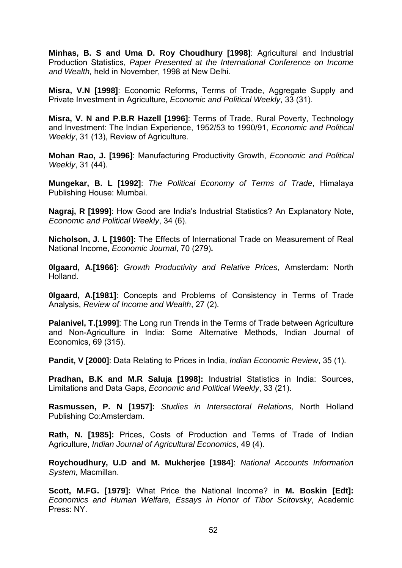**Minhas, B. S and Uma D. Roy Choudhury [1998]**: Agricultural and Industrial Production Statistics, *Paper Presented at the International Conference on Income and Wealth,* held in November, 1998 at New Delhi.

**Misra, V.N [1998]**: Economic Reforms**,** Terms of Trade, Aggregate Supply and Private Investment in Agriculture, *Economic and Political Weekly*, 33 (31).

**Misra, V. N and P.B.R Hazell [1996]**: Terms of Trade, Rural Poverty, Technology and Investment: The Indian Experience, 1952/53 to 1990/91, *Economic and Political Weekly*, 31 (13), Review of Agriculture.

**Mohan Rao, J. [1996]**: Manufacturing Productivity Growth, *Economic and Political Weekly*, 31 (44).

**Mungekar, B. L [1992]**: *The Political Economy of Terms of Trade*, Himalaya Publishing House: Mumbai.

**Nagraj, R [1999]**: How Good are India's Industrial Statistics? An Explanatory Note, *Economic and Political Weekly*, 34 (6).

**Nicholson, J. L [1960]:** The Effects of International Trade on Measurement of Real National Income, *Economic Journal*, 70 (279)**.**

**0lgaard, A.[1966]**: *Growth Productivity and Relative Prices*, Amsterdam: North Holland.

**0lgaard, A.[1981]**: Concepts and Problems of Consistency in Terms of Trade Analysis, *Review of Income and Wealth*, 27 (2).

**Palanivel, T.[1999]**: The Long run Trends in the Terms of Trade between Agriculture and Non-Agriculture in India: Some Alternative Methods, Indian Journal of Economics, 69 (315).

**Pandit, V [2000]**: Data Relating to Prices in India, *Indian Economic Review*, 35 (1).

**Pradhan, B.K and M.R Saluja [1998]:** Industrial Statistics in India: Sources, Limitations and Data Gaps, *Economic and Political Weekly*, 33 (21).

**Rasmussen, P. N [1957]:** *Studies in Intersectoral Relations,* North Holland Publishing Co:Amsterdam.

**Rath, N. [1985]:** Prices, Costs of Production and Terms of Trade of Indian Agriculture, *Indian Journal of Agricultural Economics*, 49 (4).

**Roychoudhury, U.D and M. Mukherjee [1984]**: *National Accounts Information System*, Macmillan.

**Scott, M.FG. [1979]:** What Price the National Income? in **M. Boskin [Edt]:** *Economics and Human Welfare, Essays in Honor of Tibor Scitovsky*, Academic Press: NY.